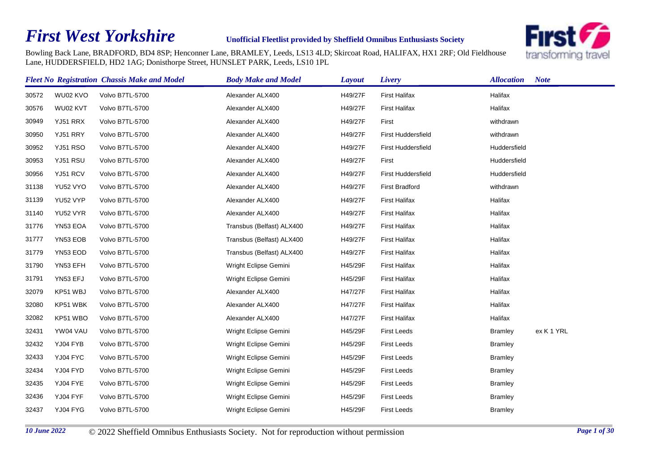## *First West Yorkshire*

## **Unofficial Fleetlist provided by Sheffield Omnibus Enthusiasts Society**



Bowling Back Lane, BRADFORD, BD4 8SP; Henconner Lane, BRAMLEY, Leeds, LS13 4LD; Skircoat Road, HALIFAX, HX1 2RF; Old Fieldhouse Lane, HUDDERSFIELD, HD2 1AG; Donisthorpe Street, HUNSLET PARK, Leeds, LS10 1PL

|       |                 | <b>Fleet No Registration Chassis Make and Model</b> | <b>Body Make and Model</b> | Layout  | Livery                    | <b>Allocation</b> | <b>Note</b> |
|-------|-----------------|-----------------------------------------------------|----------------------------|---------|---------------------------|-------------------|-------------|
| 30572 | WU02 KVO        | Volvo B7TL-5700                                     | Alexander ALX400           | H49/27F | <b>First Halifax</b>      | Halifax           |             |
| 30576 | WU02 KVT        | Volvo B7TL-5700                                     | Alexander ALX400           | H49/27F | <b>First Halifax</b>      | Halifax           |             |
| 30949 | YJ51 RRX        | Volvo B7TL-5700                                     | Alexander ALX400           | H49/27F | First                     | withdrawn         |             |
| 30950 | YJ51 RRY        | Volvo B7TL-5700                                     | Alexander ALX400           | H49/27F | <b>First Huddersfield</b> | withdrawn         |             |
| 30952 | <b>YJ51 RSO</b> | Volvo B7TL-5700                                     | Alexander ALX400           | H49/27F | <b>First Huddersfield</b> | Huddersfield      |             |
| 30953 | YJ51 RSU        | Volvo B7TL-5700                                     | Alexander ALX400           | H49/27F | First                     | Huddersfield      |             |
| 30956 | YJ51 RCV        | Volvo B7TL-5700                                     | Alexander ALX400           | H49/27F | <b>First Huddersfield</b> | Huddersfield      |             |
| 31138 | YU52 VYO        | Volvo B7TL-5700                                     | Alexander ALX400           | H49/27F | <b>First Bradford</b>     | withdrawn         |             |
| 31139 | YU52 VYP        | Volvo B7TL-5700                                     | Alexander ALX400           | H49/27F | <b>First Halifax</b>      | Halifax           |             |
| 31140 | YU52 VYR        | Volvo B7TL-5700                                     | Alexander ALX400           | H49/27F | <b>First Halifax</b>      | Halifax           |             |
| 31776 | YN53 EOA        | Volvo B7TL-5700                                     | Transbus (Belfast) ALX400  | H49/27F | <b>First Halifax</b>      | Halifax           |             |
| 31777 | YN53 EOB        | Volvo B7TL-5700                                     | Transbus (Belfast) ALX400  | H49/27F | <b>First Halifax</b>      | Halifax           |             |
| 31779 | YN53 EOD        | Volvo B7TL-5700                                     | Transbus (Belfast) ALX400  | H49/27F | <b>First Halifax</b>      | Halifax           |             |
| 31790 | YN53 EFH        | Volvo B7TL-5700                                     | Wright Eclipse Gemini      | H45/29F | <b>First Halifax</b>      | Halifax           |             |
| 31791 | YN53 EFJ        | Volvo B7TL-5700                                     | Wright Eclipse Gemini      | H45/29F | <b>First Halifax</b>      | Halifax           |             |
| 32079 | KP51 WBJ        | Volvo B7TL-5700                                     | Alexander ALX400           | H47/27F | <b>First Halifax</b>      | Halifax           |             |
| 32080 | KP51 WBK        | Volvo B7TL-5700                                     | Alexander ALX400           | H47/27F | <b>First Halifax</b>      | Halifax           |             |
| 32082 | KP51 WBO        | Volvo B7TL-5700                                     | Alexander ALX400           | H47/27F | <b>First Halifax</b>      | Halifax           |             |
| 32431 | YW04 VAU        | Volvo B7TL-5700                                     | Wright Eclipse Gemini      | H45/29F | <b>First Leeds</b>        | <b>Bramley</b>    | ex K 1 YRL  |
| 32432 | YJ04 FYB        | Volvo B7TL-5700                                     | Wright Eclipse Gemini      | H45/29F | <b>First Leeds</b>        | <b>Bramley</b>    |             |
| 32433 | YJ04 FYC        | Volvo B7TL-5700                                     | Wright Eclipse Gemini      | H45/29F | <b>First Leeds</b>        | <b>Bramley</b>    |             |
| 32434 | YJ04 FYD        | Volvo B7TL-5700                                     | Wright Eclipse Gemini      | H45/29F | <b>First Leeds</b>        | <b>Bramley</b>    |             |
| 32435 | YJ04 FYE        | Volvo B7TL-5700                                     | Wright Eclipse Gemini      | H45/29F | <b>First Leeds</b>        | <b>Bramley</b>    |             |
| 32436 | YJ04 FYF        | Volvo B7TL-5700                                     | Wright Eclipse Gemini      | H45/29F | <b>First Leeds</b>        | <b>Bramley</b>    |             |
| 32437 | YJ04 FYG        | Volvo B7TL-5700                                     | Wright Eclipse Gemini      | H45/29F | <b>First Leeds</b>        | <b>Bramley</b>    |             |
|       |                 |                                                     |                            |         |                           |                   |             |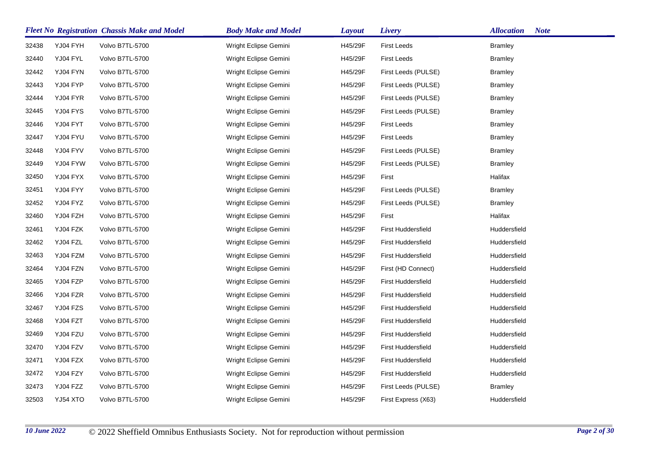|       |          | <b>Fleet No Registration Chassis Make and Model</b> | <b>Body Make and Model</b> | <b>Layout</b> | Livery                    | <b>Allocation</b><br><b>Note</b> |
|-------|----------|-----------------------------------------------------|----------------------------|---------------|---------------------------|----------------------------------|
| 32438 | YJ04 FYH | Volvo B7TL-5700                                     | Wright Eclipse Gemini      | H45/29F       | <b>First Leeds</b>        | <b>Bramley</b>                   |
| 32440 | YJ04 FYL | Volvo B7TL-5700                                     | Wright Eclipse Gemini      | H45/29F       | <b>First Leeds</b>        | <b>Bramley</b>                   |
| 32442 | YJ04 FYN | Volvo B7TL-5700                                     | Wright Eclipse Gemini      | H45/29F       | First Leeds (PULSE)       | <b>Bramley</b>                   |
| 32443 | YJ04 FYP | Volvo B7TL-5700                                     | Wright Eclipse Gemini      | H45/29F       | First Leeds (PULSE)       | <b>Bramley</b>                   |
| 32444 | YJ04 FYR | Volvo B7TL-5700                                     | Wright Eclipse Gemini      | H45/29F       | First Leeds (PULSE)       | <b>Bramley</b>                   |
| 32445 | YJ04 FYS | Volvo B7TL-5700                                     | Wright Eclipse Gemini      | H45/29F       | First Leeds (PULSE)       | <b>Bramley</b>                   |
| 32446 | YJ04 FYT | Volvo B7TL-5700                                     | Wright Eclipse Gemini      | H45/29F       | <b>First Leeds</b>        | <b>Bramley</b>                   |
| 32447 | YJ04 FYU | Volvo B7TL-5700                                     | Wright Eclipse Gemini      | H45/29F       | First Leeds               | <b>Bramley</b>                   |
| 32448 | YJ04 FYV | Volvo B7TL-5700                                     | Wright Eclipse Gemini      | H45/29F       | First Leeds (PULSE)       | <b>Bramley</b>                   |
| 32449 | YJ04 FYW | Volvo B7TL-5700                                     | Wright Eclipse Gemini      | H45/29F       | First Leeds (PULSE)       | <b>Bramley</b>                   |
| 32450 | YJ04 FYX | Volvo B7TL-5700                                     | Wright Eclipse Gemini      | H45/29F       | First                     | Halifax                          |
| 32451 | YJ04 FYY | Volvo B7TL-5700                                     | Wright Eclipse Gemini      | H45/29F       | First Leeds (PULSE)       | <b>Bramley</b>                   |
| 32452 | YJ04 FYZ | Volvo B7TL-5700                                     | Wright Eclipse Gemini      | H45/29F       | First Leeds (PULSE)       | <b>Bramley</b>                   |
| 32460 | YJ04 FZH | Volvo B7TL-5700                                     | Wright Eclipse Gemini      | H45/29F       | First                     | Halifax                          |
| 32461 | YJ04 FZK | Volvo B7TL-5700                                     | Wright Eclipse Gemini      | H45/29F       | <b>First Huddersfield</b> | Huddersfield                     |
| 32462 | YJ04 FZL | Volvo B7TL-5700                                     | Wright Eclipse Gemini      | H45/29F       | First Huddersfield        | Huddersfield                     |
| 32463 | YJ04 FZM | Volvo B7TL-5700                                     | Wright Eclipse Gemini      | H45/29F       | First Huddersfield        | Huddersfield                     |
| 32464 | YJ04 FZN | Volvo B7TL-5700                                     | Wright Eclipse Gemini      | H45/29F       | First (HD Connect)        | Huddersfield                     |
| 32465 | YJ04 FZP | Volvo B7TL-5700                                     | Wright Eclipse Gemini      | H45/29F       | First Huddersfield        | Huddersfield                     |
| 32466 | YJ04 FZR | Volvo B7TL-5700                                     | Wright Eclipse Gemini      | H45/29F       | First Huddersfield        | Huddersfield                     |
| 32467 | YJ04 FZS | Volvo B7TL-5700                                     | Wright Eclipse Gemini      | H45/29F       | <b>First Huddersfield</b> | Huddersfield                     |
| 32468 | YJ04 FZT | Volvo B7TL-5700                                     | Wright Eclipse Gemini      | H45/29F       | First Huddersfield        | Huddersfield                     |
| 32469 | YJ04 FZU | Volvo B7TL-5700                                     | Wright Eclipse Gemini      | H45/29F       | First Huddersfield        | Huddersfield                     |
| 32470 | YJ04 FZV | Volvo B7TL-5700                                     | Wright Eclipse Gemini      | H45/29F       | First Huddersfield        | Huddersfield                     |
| 32471 | YJ04 FZX | Volvo B7TL-5700                                     | Wright Eclipse Gemini      | H45/29F       | First Huddersfield        | Huddersfield                     |
| 32472 | YJ04 FZY | Volvo B7TL-5700                                     | Wright Eclipse Gemini      | H45/29F       | First Huddersfield        | Huddersfield                     |
| 32473 | YJ04 FZZ | Volvo B7TL-5700                                     | Wright Eclipse Gemini      | H45/29F       | First Leeds (PULSE)       | <b>Bramley</b>                   |
| 32503 | YJ54 XTO | Volvo B7TL-5700                                     | Wright Eclipse Gemini      | H45/29F       | First Express (X63)       | Huddersfield                     |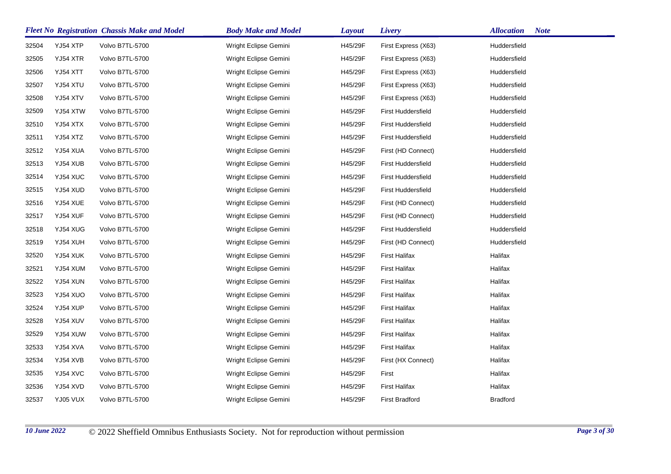|       |          | <b>Fleet No Registration Chassis Make and Model</b> | <b>Body Make and Model</b> | <b>Layout</b> | Livery                    | <b>Note</b><br><b>Allocation</b> |
|-------|----------|-----------------------------------------------------|----------------------------|---------------|---------------------------|----------------------------------|
| 32504 | YJ54 XTP | Volvo B7TL-5700                                     | Wright Eclipse Gemini      | H45/29F       | First Express (X63)       | Huddersfield                     |
| 32505 | YJ54 XTR | Volvo B7TL-5700                                     | Wright Eclipse Gemini      | H45/29F       | First Express (X63)       | Huddersfield                     |
| 32506 | YJ54 XTT | Volvo B7TL-5700                                     | Wright Eclipse Gemini      | H45/29F       | First Express (X63)       | Huddersfield                     |
| 32507 | YJ54 XTU | Volvo B7TL-5700                                     | Wright Eclipse Gemini      | H45/29F       | First Express (X63)       | Huddersfield                     |
| 32508 | YJ54 XTV | Volvo B7TL-5700                                     | Wright Eclipse Gemini      | H45/29F       | First Express (X63)       | Huddersfield                     |
| 32509 | YJ54 XTW | Volvo B7TL-5700                                     | Wright Eclipse Gemini      | H45/29F       | First Huddersfield        | Huddersfield                     |
| 32510 | YJ54 XTX | Volvo B7TL-5700                                     | Wright Eclipse Gemini      | H45/29F       | First Huddersfield        | Huddersfield                     |
| 32511 | YJ54 XTZ | Volvo B7TL-5700                                     | Wright Eclipse Gemini      | H45/29F       | <b>First Huddersfield</b> | Huddersfield                     |
| 32512 | YJ54 XUA | Volvo B7TL-5700                                     | Wright Eclipse Gemini      | H45/29F       | First (HD Connect)        | Huddersfield                     |
| 32513 | YJ54 XUB | Volvo B7TL-5700                                     | Wright Eclipse Gemini      | H45/29F       | <b>First Huddersfield</b> | Huddersfield                     |
| 32514 | YJ54 XUC | Volvo B7TL-5700                                     | Wright Eclipse Gemini      | H45/29F       | First Huddersfield        | Huddersfield                     |
| 32515 | YJ54 XUD | Volvo B7TL-5700                                     | Wright Eclipse Gemini      | H45/29F       | <b>First Huddersfield</b> | Huddersfield                     |
| 32516 | YJ54 XUE | Volvo B7TL-5700                                     | Wright Eclipse Gemini      | H45/29F       | First (HD Connect)        | Huddersfield                     |
| 32517 | YJ54 XUF | Volvo B7TL-5700                                     | Wright Eclipse Gemini      | H45/29F       | First (HD Connect)        | Huddersfield                     |
| 32518 | YJ54 XUG | Volvo B7TL-5700                                     | Wright Eclipse Gemini      | H45/29F       | First Huddersfield        | Huddersfield                     |
| 32519 | YJ54 XUH | Volvo B7TL-5700                                     | Wright Eclipse Gemini      | H45/29F       | First (HD Connect)        | Huddersfield                     |
| 32520 | YJ54 XUK | Volvo B7TL-5700                                     | Wright Eclipse Gemini      | H45/29F       | <b>First Halifax</b>      | Halifax                          |
| 32521 | YJ54 XUM | Volvo B7TL-5700                                     | Wright Eclipse Gemini      | H45/29F       | <b>First Halifax</b>      | Halifax                          |
| 32522 | YJ54 XUN | Volvo B7TL-5700                                     | Wright Eclipse Gemini      | H45/29F       | <b>First Halifax</b>      | Halifax                          |
| 32523 | YJ54 XUO | Volvo B7TL-5700                                     | Wright Eclipse Gemini      | H45/29F       | <b>First Halifax</b>      | Halifax                          |
| 32524 | YJ54 XUP | Volvo B7TL-5700                                     | Wright Eclipse Gemini      | H45/29F       | <b>First Halifax</b>      | Halifax                          |
| 32528 | YJ54 XUV | Volvo B7TL-5700                                     | Wright Eclipse Gemini      | H45/29F       | <b>First Halifax</b>      | Halifax                          |
| 32529 | YJ54 XUW | Volvo B7TL-5700                                     | Wright Eclipse Gemini      | H45/29F       | <b>First Halifax</b>      | Halifax                          |
| 32533 | YJ54 XVA | Volvo B7TL-5700                                     | Wright Eclipse Gemini      | H45/29F       | <b>First Halifax</b>      | Halifax                          |
| 32534 | YJ54 XVB | Volvo B7TL-5700                                     | Wright Eclipse Gemini      | H45/29F       | First (HX Connect)        | Halifax                          |
| 32535 | YJ54 XVC | Volvo B7TL-5700                                     | Wright Eclipse Gemini      | H45/29F       | First                     | Halifax                          |
| 32536 | YJ54 XVD | Volvo B7TL-5700                                     | Wright Eclipse Gemini      | H45/29F       | <b>First Halifax</b>      | Halifax                          |
| 32537 | YJ05 VUX | Volvo B7TL-5700                                     | Wright Eclipse Gemini      | H45/29F       | <b>First Bradford</b>     | <b>Bradford</b>                  |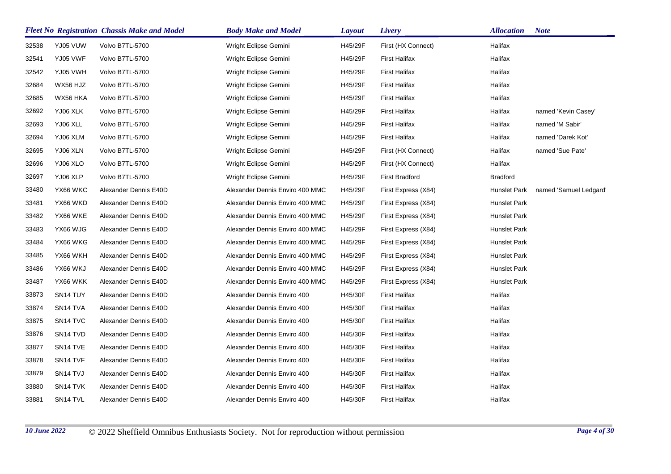|       |                      | <b>Fleet No Registration Chassis Make and Model</b> | <b>Body Make and Model</b>      | <b>Layout</b> | Livery                | <b>Allocation</b>   | <b>Note</b>            |
|-------|----------------------|-----------------------------------------------------|---------------------------------|---------------|-----------------------|---------------------|------------------------|
| 32538 | YJ05 VUW             | Volvo B7TL-5700                                     | Wright Eclipse Gemini           | H45/29F       | First (HX Connect)    | Halifax             |                        |
| 32541 | YJ05 VWF             | Volvo B7TL-5700                                     | Wright Eclipse Gemini           | H45/29F       | <b>First Halifax</b>  | Halifax             |                        |
| 32542 | YJ05 VWH             | Volvo B7TL-5700                                     | Wright Eclipse Gemini           | H45/29F       | <b>First Halifax</b>  | Halifax             |                        |
| 32684 | WX56 HJZ             | Volvo B7TL-5700                                     | Wright Eclipse Gemini           | H45/29F       | <b>First Halifax</b>  | Halifax             |                        |
| 32685 | WX56 HKA             | Volvo B7TL-5700                                     | Wright Eclipse Gemini           | H45/29F       | <b>First Halifax</b>  | Halifax             |                        |
| 32692 | YJ06 XLK             | Volvo B7TL-5700                                     | Wright Eclipse Gemini           | H45/29F       | <b>First Halifax</b>  | Halifax             | named 'Kevin Casey'    |
| 32693 | YJ06 XLL             | Volvo B7TL-5700                                     | Wright Eclipse Gemini           | H45/29F       | <b>First Halifax</b>  | Halifax             | named 'M Sabir'        |
| 32694 | YJ06 XLM             | Volvo B7TL-5700                                     | Wright Eclipse Gemini           | H45/29F       | <b>First Halifax</b>  | Halifax             | named 'Darek Kot'      |
| 32695 | YJ06 XLN             | Volvo B7TL-5700                                     | Wright Eclipse Gemini           | H45/29F       | First (HX Connect)    | Halifax             | named 'Sue Pate'       |
| 32696 | YJ06 XLO             | Volvo B7TL-5700                                     | Wright Eclipse Gemini           | H45/29F       | First (HX Connect)    | Halifax             |                        |
| 32697 | YJ06 XLP             | Volvo B7TL-5700                                     | Wright Eclipse Gemini           | H45/29F       | <b>First Bradford</b> | <b>Bradford</b>     |                        |
| 33480 | YX66 WKC             | Alexander Dennis E40D                               | Alexander Dennis Enviro 400 MMC | H45/29F       | First Express (X84)   | Hunslet Park        | named 'Samuel Ledgard' |
| 33481 | YX66 WKD             | Alexander Dennis E40D                               | Alexander Dennis Enviro 400 MMC | H45/29F       | First Express (X84)   | Hunslet Park        |                        |
| 33482 | YX66 WKE             | Alexander Dennis E40D                               | Alexander Dennis Enviro 400 MMC | H45/29F       | First Express (X84)   | <b>Hunslet Park</b> |                        |
| 33483 | YX66 WJG             | Alexander Dennis E40D                               | Alexander Dennis Enviro 400 MMC | H45/29F       | First Express (X84)   | <b>Hunslet Park</b> |                        |
| 33484 | YX66 WKG             | Alexander Dennis E40D                               | Alexander Dennis Enviro 400 MMC | H45/29F       | First Express (X84)   | <b>Hunslet Park</b> |                        |
| 33485 | YX66 WKH             | Alexander Dennis E40D                               | Alexander Dennis Enviro 400 MMC | H45/29F       | First Express (X84)   | Hunslet Park        |                        |
| 33486 | YX66 WKJ             | Alexander Dennis E40D                               | Alexander Dennis Enviro 400 MMC | H45/29F       | First Express (X84)   | <b>Hunslet Park</b> |                        |
| 33487 | YX66 WKK             | Alexander Dennis E40D                               | Alexander Dennis Enviro 400 MMC | H45/29F       | First Express (X84)   | Hunslet Park        |                        |
| 33873 | SN <sub>14</sub> TUY | Alexander Dennis E40D                               | Alexander Dennis Enviro 400     | H45/30F       | <b>First Halifax</b>  | Halifax             |                        |
| 33874 | SN <sub>14</sub> TVA | Alexander Dennis E40D                               | Alexander Dennis Enviro 400     | H45/30F       | <b>First Halifax</b>  | Halifax             |                        |
| 33875 | SN <sub>14</sub> TVC | Alexander Dennis E40D                               | Alexander Dennis Enviro 400     | H45/30F       | <b>First Halifax</b>  | Halifax             |                        |
| 33876 | SN <sub>14</sub> TVD | Alexander Dennis E40D                               | Alexander Dennis Enviro 400     | H45/30F       | <b>First Halifax</b>  | Halifax             |                        |
| 33877 | SN <sub>14</sub> TVE | Alexander Dennis E40D                               | Alexander Dennis Enviro 400     | H45/30F       | <b>First Halifax</b>  | Halifax             |                        |
| 33878 | SN <sub>14</sub> TVF | Alexander Dennis E40D                               | Alexander Dennis Enviro 400     | H45/30F       | <b>First Halifax</b>  | Halifax             |                        |
| 33879 | SN <sub>14</sub> TVJ | Alexander Dennis E40D                               | Alexander Dennis Enviro 400     | H45/30F       | <b>First Halifax</b>  | Halifax             |                        |
| 33880 | SN <sub>14</sub> TVK | Alexander Dennis E40D                               | Alexander Dennis Enviro 400     | H45/30F       | <b>First Halifax</b>  | Halifax             |                        |
| 33881 | SN14 TVL             | Alexander Dennis E40D                               | Alexander Dennis Enviro 400     | H45/30F       | <b>First Halifax</b>  | Halifax             |                        |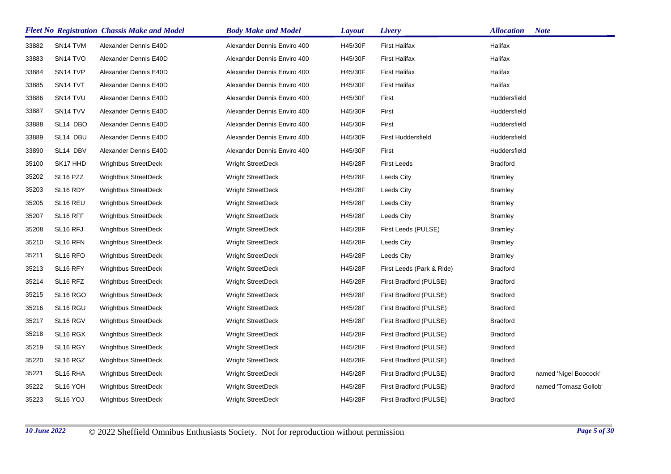|       |                                  | <b>Fleet No Registration Chassis Make and Model</b> | <b>Body Make and Model</b>  | <b>Layout</b> | <b>Livery</b>             | <b>Allocation</b> | <b>Note</b>           |
|-------|----------------------------------|-----------------------------------------------------|-----------------------------|---------------|---------------------------|-------------------|-----------------------|
| 33882 | SN <sub>14</sub> TVM             | Alexander Dennis E40D                               | Alexander Dennis Enviro 400 | H45/30F       | <b>First Halifax</b>      | Halifax           |                       |
| 33883 | SN <sub>14</sub> TVO             | Alexander Dennis E40D                               | Alexander Dennis Enviro 400 | H45/30F       | First Halifax             | Halifax           |                       |
| 33884 | SN <sub>14</sub> TVP             | Alexander Dennis E40D                               | Alexander Dennis Enviro 400 | H45/30F       | First Halifax             | Halifax           |                       |
| 33885 | SN <sub>14</sub> TVT             | Alexander Dennis E40D                               | Alexander Dennis Enviro 400 | H45/30F       | <b>First Halifax</b>      | Halifax           |                       |
| 33886 | SN <sub>14</sub> TVU             | Alexander Dennis E40D                               | Alexander Dennis Enviro 400 | H45/30F       | First                     | Huddersfield      |                       |
| 33887 | SN14 TVV                         | Alexander Dennis E40D                               | Alexander Dennis Enviro 400 | H45/30F       | First                     | Huddersfield      |                       |
| 33888 | SL14 DBO                         | Alexander Dennis E40D                               | Alexander Dennis Enviro 400 | H45/30F       | First                     | Huddersfield      |                       |
| 33889 | SL14 DBU                         | Alexander Dennis E40D                               | Alexander Dennis Enviro 400 | H45/30F       | <b>First Huddersfield</b> | Huddersfield      |                       |
| 33890 | SL14 DBV                         | Alexander Dennis E40D                               | Alexander Dennis Enviro 400 | H45/30F       | First                     | Huddersfield      |                       |
| 35100 | SK17 HHD                         | Wrightbus StreetDeck                                | <b>Wright StreetDeck</b>    | H45/28F       | <b>First Leeds</b>        | <b>Bradford</b>   |                       |
| 35202 | SL <sub>16</sub> PZZ             | <b>Wrightbus StreetDeck</b>                         | <b>Wright StreetDeck</b>    | H45/28F       | Leeds City                | <b>Bramley</b>    |                       |
| 35203 | SL16 RDY                         | <b>Wrightbus StreetDeck</b>                         | <b>Wright StreetDeck</b>    | H45/28F       | Leeds City                | <b>Bramley</b>    |                       |
| 35205 | SL16 REU                         | <b>Wrightbus StreetDeck</b>                         | <b>Wright StreetDeck</b>    | H45/28F       | Leeds City                | <b>Bramley</b>    |                       |
| 35207 | SL16 RFF                         | <b>Wrightbus StreetDeck</b>                         | <b>Wright StreetDeck</b>    | H45/28F       | Leeds City                | <b>Bramley</b>    |                       |
| 35208 | SL <sub>16</sub> RFJ             | <b>Wrightbus StreetDeck</b>                         | Wright StreetDeck           | H45/28F       | First Leeds (PULSE)       | <b>Bramley</b>    |                       |
| 35210 | SL <sub>16</sub> RFN             | Wrightbus StreetDeck                                | <b>Wright StreetDeck</b>    | H45/28F       | Leeds City                | <b>Bramley</b>    |                       |
| 35211 | SL <sub>16</sub> RFO             | <b>Wrightbus StreetDeck</b>                         | <b>Wright StreetDeck</b>    | H45/28F       | Leeds City                | <b>Bramley</b>    |                       |
| 35213 | SL <sub>16</sub> RFY             | <b>Wrightbus StreetDeck</b>                         | <b>Wright StreetDeck</b>    | H45/28F       | First Leeds (Park & Ride) | <b>Bradford</b>   |                       |
| 35214 | SL <sub>16</sub> RFZ             | <b>Wrightbus StreetDeck</b>                         | <b>Wright StreetDeck</b>    | H45/28F       | First Bradford (PULSE)    | <b>Bradford</b>   |                       |
| 35215 | SL <sub>16</sub> R <sub>GO</sub> | Wrightbus StreetDeck                                | <b>Wright StreetDeck</b>    | H45/28F       | First Bradford (PULSE)    | <b>Bradford</b>   |                       |
| 35216 | SL16 RGU                         | <b>Wrightbus StreetDeck</b>                         | <b>Wright StreetDeck</b>    | H45/28F       | First Bradford (PULSE)    | <b>Bradford</b>   |                       |
| 35217 | SL16 RGV                         | <b>Wrightbus StreetDeck</b>                         | <b>Wright StreetDeck</b>    | H45/28F       | First Bradford (PULSE)    | <b>Bradford</b>   |                       |
| 35218 | SL <sub>16</sub> RGX             | <b>Wrightbus StreetDeck</b>                         | <b>Wright StreetDeck</b>    | H45/28F       | First Bradford (PULSE)    | <b>Bradford</b>   |                       |
| 35219 | SL <sub>16</sub> RGY             | <b>Wrightbus StreetDeck</b>                         | Wright StreetDeck           | H45/28F       | First Bradford (PULSE)    | <b>Bradford</b>   |                       |
| 35220 | SL16 RGZ                         | <b>Wrightbus StreetDeck</b>                         | Wright StreetDeck           | H45/28F       | First Bradford (PULSE)    | <b>Bradford</b>   |                       |
| 35221 | SL16 RHA                         | <b>Wrightbus StreetDeck</b>                         | <b>Wright StreetDeck</b>    | H45/28F       | First Bradford (PULSE)    | <b>Bradford</b>   | named 'Nigel Boocock' |
| 35222 | SL16 YOH                         | <b>Wrightbus StreetDeck</b>                         | <b>Wright StreetDeck</b>    | H45/28F       | First Bradford (PULSE)    | <b>Bradford</b>   | named 'Tomasz Gollob' |
| 35223 | SL <sub>16</sub> YOJ             | <b>Wrightbus StreetDeck</b>                         | <b>Wright StreetDeck</b>    | H45/28F       | First Bradford (PULSE)    | <b>Bradford</b>   |                       |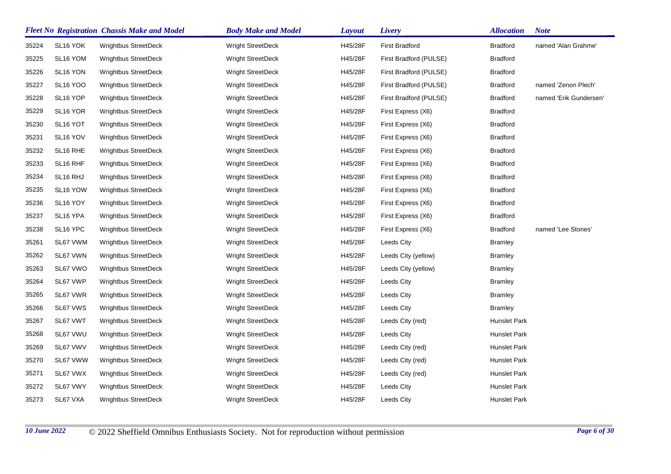|       |                      | <b>Fleet No Registration Chassis Make and Model</b> | <b>Body Make and Model</b> | <b>Layout</b> | Livery                 | <b>Allocation</b> | <b>Note</b>            |
|-------|----------------------|-----------------------------------------------------|----------------------------|---------------|------------------------|-------------------|------------------------|
| 35224 | SL16 YOK             | <b>Wrightbus StreetDeck</b>                         | <b>Wright StreetDeck</b>   | H45/28F       | <b>First Bradford</b>  | <b>Bradford</b>   | named 'Alan Grahme'    |
| 35225 | SL <sub>16</sub> YOM | <b>Wrightbus StreetDeck</b>                         | <b>Wright StreetDeck</b>   | H45/28F       | First Bradford (PULSE) | <b>Bradford</b>   |                        |
| 35226 | SL16 YON             | Wrightbus StreetDeck                                | <b>Wright StreetDeck</b>   | H45/28F       | First Bradford (PULSE) | <b>Bradford</b>   |                        |
| 35227 | <b>SL16 YOO</b>      | <b>Wrightbus StreetDeck</b>                         | Wright StreetDeck          | H45/28F       | First Bradford (PULSE) | <b>Bradford</b>   | named 'Zenon Plech'    |
| 35228 | SL <sub>16</sub> YOP | Wrightbus StreetDeck                                | Wright StreetDeck          | H45/28F       | First Bradford (PULSE) | <b>Bradford</b>   | named 'Erik Gundersen' |
| 35229 | SL16 YOR             | <b>Wrightbus StreetDeck</b>                         | <b>Wright StreetDeck</b>   | H45/28F       | First Express (X6)     | <b>Bradford</b>   |                        |
| 35230 | SL <sub>16</sub> YOT | <b>Wrightbus StreetDeck</b>                         | Wright StreetDeck          | H45/28F       | First Express (X6)     | <b>Bradford</b>   |                        |
| 35231 | SL <sub>16</sub> YOV | Wrightbus StreetDeck                                | Wright StreetDeck          | H45/28F       | First Express (X6)     | <b>Bradford</b>   |                        |
| 35232 | SL16 RHE             | <b>Wrightbus StreetDeck</b>                         | <b>Wright StreetDeck</b>   | H45/28F       | First Express (X6)     | <b>Bradford</b>   |                        |
| 35233 | SL16 RHF             | Wrightbus StreetDeck                                | Wright StreetDeck          | H45/28F       | First Express (X6)     | <b>Bradford</b>   |                        |
| 35234 | SL <sub>16</sub> RHJ | <b>Wrightbus StreetDeck</b>                         | <b>Wright StreetDeck</b>   | H45/28F       | First Express (X6)     | <b>Bradford</b>   |                        |
| 35235 | SL <sub>16</sub> YOW | <b>Wrightbus StreetDeck</b>                         | <b>Wright StreetDeck</b>   | H45/28F       | First Express (X6)     | <b>Bradford</b>   |                        |
| 35236 | SL16 YOY             | <b>Wrightbus StreetDeck</b>                         | <b>Wright StreetDeck</b>   | H45/28F       | First Express (X6)     | <b>Bradford</b>   |                        |
| 35237 | SL16 YPA             | <b>Wrightbus StreetDeck</b>                         | Wright StreetDeck          | H45/28F       | First Express (X6)     | <b>Bradford</b>   |                        |
| 35238 | SL16 YPC             | <b>Wrightbus StreetDeck</b>                         | Wright StreetDeck          | H45/28F       | First Express (X6)     | <b>Bradford</b>   | named 'Lee Stones'     |
| 35261 | SL67 VWM             | <b>Wrightbus StreetDeck</b>                         | <b>Wright StreetDeck</b>   | H45/28F       | Leeds City             | Bramley           |                        |
| 35262 | SL67 VWN             | <b>Wrightbus StreetDeck</b>                         | Wright StreetDeck          | H45/28F       | Leeds City (yellow)    | Bramley           |                        |
| 35263 | SL67 VWO             | <b>Wrightbus StreetDeck</b>                         | <b>Wright StreetDeck</b>   | H45/28F       | Leeds City (yellow)    | Bramley           |                        |
| 35264 | SL67 VWP             | <b>Wrightbus StreetDeck</b>                         | <b>Wright StreetDeck</b>   | H45/28F       | Leeds City             | Bramley           |                        |
| 35265 | SL67 VWR             | <b>Wrightbus StreetDeck</b>                         | <b>Wright StreetDeck</b>   | H45/28F       | <b>Leeds City</b>      | Bramley           |                        |
| 35266 | SL67 VWS             | Wrightbus StreetDeck                                | <b>Wright StreetDeck</b>   | H45/28F       | Leeds City             | Bramley           |                        |
| 35267 | SL67 VWT             | <b>Wrightbus StreetDeck</b>                         | Wright StreetDeck          | H45/28F       | Leeds City (red)       | Hunslet Park      |                        |
| 35268 | SL67 VWU             | <b>Wrightbus StreetDeck</b>                         | <b>Wright StreetDeck</b>   | H45/28F       | Leeds City             | Hunslet Park      |                        |
| 35269 | SL67 VWV             | <b>Wrightbus StreetDeck</b>                         | <b>Wright StreetDeck</b>   | H45/28F       | Leeds City (red)       | Hunslet Park      |                        |
| 35270 | SL67 VWW             | <b>Wrightbus StreetDeck</b>                         | <b>Wright StreetDeck</b>   | H45/28F       | Leeds City (red)       | Hunslet Park      |                        |
| 35271 | SL67 VWX             | <b>Wrightbus StreetDeck</b>                         | <b>Wright StreetDeck</b>   | H45/28F       | Leeds City (red)       | Hunslet Park      |                        |
| 35272 | SL67 VWY             | <b>Wrightbus StreetDeck</b>                         | <b>Wright StreetDeck</b>   | H45/28F       | Leeds City             | Hunslet Park      |                        |
| 35273 | SL67 VXA             | <b>Wrightbus StreetDeck</b>                         | <b>Wright StreetDeck</b>   | H45/28F       | Leeds City             | Hunslet Park      |                        |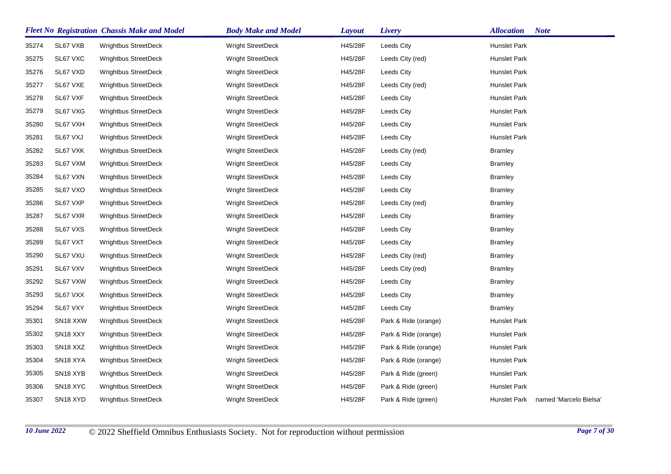|       |                                   | <b>Fleet No Registration Chassis Make and Model</b> | <b>Body Make and Model</b> | <b>Layout</b> | Livery               | <b>Allocation</b><br><b>Note</b>       |
|-------|-----------------------------------|-----------------------------------------------------|----------------------------|---------------|----------------------|----------------------------------------|
| 35274 | SL67 VXB                          | <b>Wrightbus StreetDeck</b>                         | Wright StreetDeck          | H45/28F       | Leeds City           | <b>Hunslet Park</b>                    |
| 35275 | SL67 VXC                          | Wrightbus StreetDeck                                | <b>Wright StreetDeck</b>   | H45/28F       | Leeds City (red)     | Hunslet Park                           |
| 35276 | SL67 VXD                          | <b>Wrightbus StreetDeck</b>                         | Wright StreetDeck          | H45/28F       | Leeds City           | Hunslet Park                           |
| 35277 | SL67 VXE                          | <b>Wrightbus StreetDeck</b>                         | Wright StreetDeck          | H45/28F       | Leeds City (red)     | Hunslet Park                           |
| 35278 | SL67 VXF                          | <b>Wrightbus StreetDeck</b>                         | Wright StreetDeck          | H45/28F       | Leeds City           | Hunslet Park                           |
| 35279 | SL67 VXG                          | Wrightbus StreetDeck                                | Wright StreetDeck          | H45/28F       | Leeds City           | Hunslet Park                           |
| 35280 | SL67 VXH                          | <b>Wrightbus StreetDeck</b>                         | Wright StreetDeck          | H45/28F       | Leeds City           | <b>Hunslet Park</b>                    |
| 35281 | SL67 VXJ                          | Wrightbus StreetDeck                                | Wright StreetDeck          | H45/28F       | Leeds City           | Hunslet Park                           |
| 35282 | SL67 VXK                          | <b>Wrightbus StreetDeck</b>                         | <b>Wright StreetDeck</b>   | H45/28F       | Leeds City (red)     | <b>Bramley</b>                         |
| 35283 | SL67 VXM                          | <b>Wrightbus StreetDeck</b>                         | Wright StreetDeck          | H45/28F       | Leeds City           | <b>Bramley</b>                         |
| 35284 | SL67 VXN                          | <b>Wrightbus StreetDeck</b>                         | <b>Wright StreetDeck</b>   | H45/28F       | Leeds City           | <b>Bramley</b>                         |
| 35285 | SL67 VXO                          | <b>Wrightbus StreetDeck</b>                         | Wright StreetDeck          | H45/28F       | Leeds City           | <b>Bramley</b>                         |
| 35286 | SL67 VXP                          | Wrightbus StreetDeck                                | Wright StreetDeck          | H45/28F       | Leeds City (red)     | <b>Bramley</b>                         |
| 35287 | SL67 VXR                          | Wrightbus StreetDeck                                | <b>Wright StreetDeck</b>   | H45/28F       | Leeds City           | Bramley                                |
| 35288 | SL67 VXS                          | <b>Wrightbus StreetDeck</b>                         | Wright StreetDeck          | H45/28F       | Leeds City           | <b>Bramley</b>                         |
| 35289 | SL67 VXT                          | <b>Wrightbus StreetDeck</b>                         | <b>Wright StreetDeck</b>   | H45/28F       | Leeds City           | <b>Bramley</b>                         |
| 35290 | SL67 VXU                          | <b>Wrightbus StreetDeck</b>                         | Wright StreetDeck          | H45/28F       | Leeds City (red)     | <b>Bramley</b>                         |
| 35291 | SL67 VXV                          | <b>Wrightbus StreetDeck</b>                         | Wright StreetDeck          | H45/28F       | Leeds City (red)     | <b>Bramley</b>                         |
| 35292 | SL67 VXW                          | <b>Wrightbus StreetDeck</b>                         | Wright StreetDeck          | H45/28F       | Leeds City           | Bramley                                |
| 35293 | SL67 VXX                          | <b>Wrightbus StreetDeck</b>                         | Wright StreetDeck          | H45/28F       | Leeds City           | Bramley                                |
| 35294 | SL67 VXY                          | <b>Wrightbus StreetDeck</b>                         | <b>Wright StreetDeck</b>   | H45/28F       | Leeds City           | <b>Bramley</b>                         |
| 35301 | SN <sub>18</sub> X <sub>X</sub> W | <b>Wrightbus StreetDeck</b>                         | Wright StreetDeck          | H45/28F       | Park & Ride (orange) | Hunslet Park                           |
| 35302 | SN <sub>18</sub> XXY              | <b>Wrightbus StreetDeck</b>                         | <b>Wright StreetDeck</b>   | H45/28F       | Park & Ride (orange) | Hunslet Park                           |
| 35303 | SN <sub>18</sub> X <sub>XZ</sub>  | Wrightbus StreetDeck                                | Wright StreetDeck          | H45/28F       | Park & Ride (orange) | Hunslet Park                           |
| 35304 | SN <sub>18</sub> XYA              | Wrightbus StreetDeck                                | Wright StreetDeck          | H45/28F       | Park & Ride (orange) | Hunslet Park                           |
| 35305 | SN <sub>18</sub> X <sub>Y</sub> B | <b>Wrightbus StreetDeck</b>                         | Wright StreetDeck          | H45/28F       | Park & Ride (green)  | Hunslet Park                           |
| 35306 | SN <sub>18</sub> XYC              | <b>Wrightbus StreetDeck</b>                         | Wright StreetDeck          | H45/28F       | Park & Ride (green)  | <b>Hunslet Park</b>                    |
| 35307 | SN <sub>18</sub> XYD              | <b>Wrightbus StreetDeck</b>                         | <b>Wright StreetDeck</b>   | H45/28F       | Park & Ride (green)  | Hunslet Park<br>named 'Marcelo Bielsa' |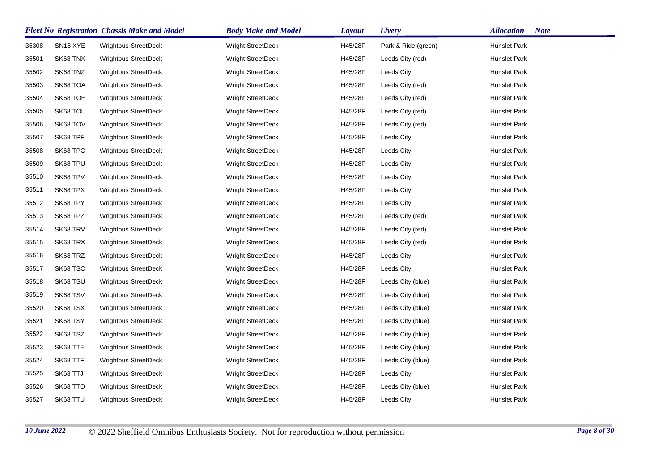|       |                      | <b>Fleet No Registration Chassis Make and Model</b> | <b>Body Make and Model</b> | <b>Layout</b> | Livery              | <b>Allocation</b><br><b>Note</b> |
|-------|----------------------|-----------------------------------------------------|----------------------------|---------------|---------------------|----------------------------------|
| 35308 | SN <sub>18</sub> XYE | <b>Wrightbus StreetDeck</b>                         | <b>Wright StreetDeck</b>   | H45/28F       | Park & Ride (green) | <b>Hunslet Park</b>              |
| 35501 | SK68 TNX             | <b>Wrightbus StreetDeck</b>                         | <b>Wright StreetDeck</b>   | H45/28F       | Leeds City (red)    | Hunslet Park                     |
| 35502 | SK68 TNZ             | <b>Wrightbus StreetDeck</b>                         | <b>Wright StreetDeck</b>   | H45/28F       | Leeds City          | Hunslet Park                     |
| 35503 | SK68 TOA             | <b>Wrightbus StreetDeck</b>                         | <b>Wright StreetDeck</b>   | H45/28F       | Leeds City (red)    | Hunslet Park                     |
| 35504 | SK68 TOH             | <b>Wrightbus StreetDeck</b>                         | <b>Wright StreetDeck</b>   | H45/28F       | Leeds City (red)    | Hunslet Park                     |
| 35505 | SK68 TOU             | Wrightbus StreetDeck                                | Wright StreetDeck          | H45/28F       | Leeds City (red)    | Hunslet Park                     |
| 35506 | SK68 TOV             | Wrightbus StreetDeck                                | Wright StreetDeck          | H45/28F       | Leeds City (red)    | Hunslet Park                     |
| 35507 | SK68 TPF             | <b>Wrightbus StreetDeck</b>                         | <b>Wright StreetDeck</b>   | H45/28F       | Leeds City          | Hunslet Park                     |
| 35508 | SK68 TPO             | <b>Wrightbus StreetDeck</b>                         | <b>Wright StreetDeck</b>   | H45/28F       | Leeds City          | Hunslet Park                     |
| 35509 | SK68 TPU             | <b>Wrightbus StreetDeck</b>                         | <b>Wright StreetDeck</b>   | H45/28F       | Leeds City          | Hunslet Park                     |
| 35510 | SK68 TPV             | <b>Wrightbus StreetDeck</b>                         | <b>Wright StreetDeck</b>   | H45/28F       | Leeds City          | Hunslet Park                     |
| 35511 | SK68 TPX             | <b>Wrightbus StreetDeck</b>                         | <b>Wright StreetDeck</b>   | H45/28F       | Leeds City          | Hunslet Park                     |
| 35512 | SK68 TPY             | <b>Wrightbus StreetDeck</b>                         | <b>Wright StreetDeck</b>   | H45/28F       | Leeds City          | Hunslet Park                     |
| 35513 | SK68 TPZ             | <b>Wrightbus StreetDeck</b>                         | <b>Wright StreetDeck</b>   | H45/28F       | Leeds City (red)    | Hunslet Park                     |
| 35514 | SK68 TRV             | Wrightbus StreetDeck                                | Wright StreetDeck          | H45/28F       | Leeds City (red)    | Hunslet Park                     |
| 35515 | SK68 TRX             | Wrightbus StreetDeck                                | Wright StreetDeck          | H45/28F       | Leeds City (red)    | Hunslet Park                     |
| 35516 | SK68 TRZ             | <b>Wrightbus StreetDeck</b>                         | <b>Wright StreetDeck</b>   | H45/28F       | Leeds City          | Hunslet Park                     |
| 35517 | SK68 TSO             | Wrightbus StreetDeck                                | Wright StreetDeck          | H45/28F       | Leeds City          | Hunslet Park                     |
| 35518 | SK68 TSU             | <b>Wrightbus StreetDeck</b>                         | <b>Wright StreetDeck</b>   | H45/28F       | Leeds City (blue)   | Hunslet Park                     |
| 35519 | SK68 TSV             | <b>Wrightbus StreetDeck</b>                         | <b>Wright StreetDeck</b>   | H45/28F       | Leeds City (blue)   | Hunslet Park                     |
| 35520 | SK68 TSX             | <b>Wrightbus StreetDeck</b>                         | <b>Wright StreetDeck</b>   | H45/28F       | Leeds City (blue)   | Hunslet Park                     |
| 35521 | SK68 TSY             | Wrightbus StreetDeck                                | Wright StreetDeck          | H45/28F       | Leeds City (blue)   | Hunslet Park                     |
| 35522 | SK68 TSZ             | <b>Wrightbus StreetDeck</b>                         | <b>Wright StreetDeck</b>   | H45/28F       | Leeds City (blue)   | Hunslet Park                     |
| 35523 | SK68 TTE             | Wrightbus StreetDeck                                | Wright StreetDeck          | H45/28F       | Leeds City (blue)   | Hunslet Park                     |
| 35524 | SK68 TTF             | <b>Wrightbus StreetDeck</b>                         | <b>Wright StreetDeck</b>   | H45/28F       | Leeds City (blue)   | Hunslet Park                     |
| 35525 | SK68 TTJ             | Wrightbus StreetDeck                                | Wright StreetDeck          | H45/28F       | Leeds City          | Hunslet Park                     |
| 35526 | SK68 TTO             | Wrightbus StreetDeck                                | <b>Wright StreetDeck</b>   | H45/28F       | Leeds City (blue)   | Hunslet Park                     |
| 35527 | SK68 TTU             | Wrightbus StreetDeck                                | Wright StreetDeck          | H45/28F       | Leeds City          | Hunslet Park                     |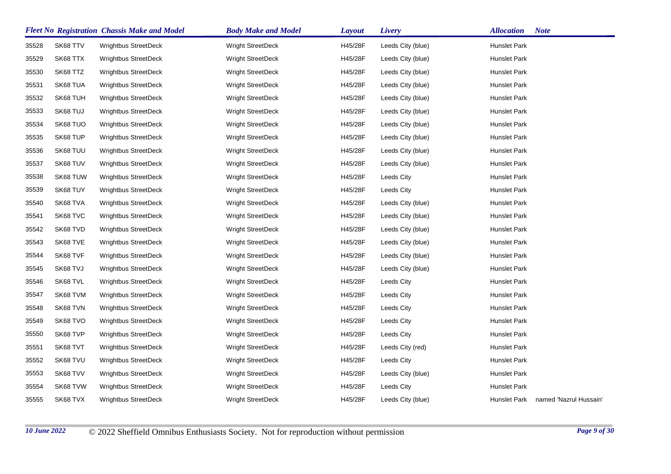|       |          | <b>Fleet No Registration Chassis Make and Model</b> | <b>Body Make and Model</b> | <b>Layout</b> | Livery            | <b>Allocation</b>   | <b>Note</b>            |
|-------|----------|-----------------------------------------------------|----------------------------|---------------|-------------------|---------------------|------------------------|
| 35528 | SK68 TTV | <b>Wrightbus StreetDeck</b>                         | Wright StreetDeck          | H45/28F       | Leeds City (blue) | <b>Hunslet Park</b> |                        |
| 35529 | SK68 TTX | <b>Wrightbus StreetDeck</b>                         | <b>Wright StreetDeck</b>   | H45/28F       | Leeds City (blue) | Hunslet Park        |                        |
| 35530 | SK68 TTZ | Wrightbus StreetDeck                                | Wright StreetDeck          | H45/28F       | Leeds City (blue) | Hunslet Park        |                        |
| 35531 | SK68 TUA | Wrightbus StreetDeck                                | Wright StreetDeck          | H45/28F       | Leeds City (blue) | Hunslet Park        |                        |
| 35532 | SK68 TUH | <b>Wrightbus StreetDeck</b>                         | Wright StreetDeck          | H45/28F       | Leeds City (blue) | Hunslet Park        |                        |
| 35533 | SK68 TUJ | <b>Wrightbus StreetDeck</b>                         | Wright StreetDeck          | H45/28F       | Leeds City (blue) | Hunslet Park        |                        |
| 35534 | SK68 TUO | <b>Wrightbus StreetDeck</b>                         | Wright StreetDeck          | H45/28F       | Leeds City (blue) | Hunslet Park        |                        |
| 35535 | SK68 TUP | Wrightbus StreetDeck                                | Wright StreetDeck          | H45/28F       | Leeds City (blue) | Hunslet Park        |                        |
| 35536 | SK68 TUU | <b>Wrightbus StreetDeck</b>                         | <b>Wright StreetDeck</b>   | H45/28F       | Leeds City (blue) | Hunslet Park        |                        |
| 35537 | SK68 TUV | <b>Wrightbus StreetDeck</b>                         | Wright StreetDeck          | H45/28F       | Leeds City (blue) | Hunslet Park        |                        |
| 35538 | SK68 TUW | Wrightbus StreetDeck                                | Wright StreetDeck          | H45/28F       | Leeds City        | Hunslet Park        |                        |
| 35539 | SK68 TUY | Wrightbus StreetDeck                                | Wright StreetDeck          | H45/28F       | Leeds City        | Hunslet Park        |                        |
| 35540 | SK68 TVA | <b>Wrightbus StreetDeck</b>                         | Wright StreetDeck          | H45/28F       | Leeds City (blue) | Hunslet Park        |                        |
| 35541 | SK68 TVC | <b>Wrightbus StreetDeck</b>                         | Wright StreetDeck          | H45/28F       | Leeds City (blue) | Hunslet Park        |                        |
| 35542 | SK68 TVD | <b>Wrightbus StreetDeck</b>                         | Wright StreetDeck          | H45/28F       | Leeds City (blue) | Hunslet Park        |                        |
| 35543 | SK68 TVE | Wrightbus StreetDeck                                | Wright StreetDeck          | H45/28F       | Leeds City (blue) | Hunslet Park        |                        |
| 35544 | SK68 TVF | <b>Wrightbus StreetDeck</b>                         | Wright StreetDeck          | H45/28F       | Leeds City (blue) | Hunslet Park        |                        |
| 35545 | SK68 TVJ | Wrightbus StreetDeck                                | Wright StreetDeck          | H45/28F       | Leeds City (blue) | Hunslet Park        |                        |
| 35546 | SK68 TVL | Wrightbus StreetDeck                                | Wright StreetDeck          | H45/28F       | Leeds City        | Hunslet Park        |                        |
| 35547 | SK68 TVM | <b>Wrightbus StreetDeck</b>                         | Wright StreetDeck          | H45/28F       | Leeds City        | Hunslet Park        |                        |
| 35548 | SK68 TVN | <b>Wrightbus StreetDeck</b>                         | <b>Wright StreetDeck</b>   | H45/28F       | Leeds City        | Hunslet Park        |                        |
| 35549 | SK68 TVO | Wrightbus StreetDeck                                | Wright StreetDeck          | H45/28F       | Leeds City        | Hunslet Park        |                        |
| 35550 | SK68 TVP | Wrightbus StreetDeck                                | Wright StreetDeck          | H45/28F       | Leeds City        | Hunslet Park        |                        |
| 35551 | SK68 TVT | <b>Wrightbus StreetDeck</b>                         | Wright StreetDeck          | H45/28F       | Leeds City (red)  | Hunslet Park        |                        |
| 35552 | SK68 TVU | Wrightbus StreetDeck                                | Wright StreetDeck          | H45/28F       | Leeds City        | Hunslet Park        |                        |
| 35553 | SK68 TVV | Wrightbus StreetDeck                                | Wright StreetDeck          | H45/28F       | Leeds City (blue) | Hunslet Park        |                        |
| 35554 | SK68 TVW | <b>Wrightbus StreetDeck</b>                         | Wright StreetDeck          | H45/28F       | Leeds City        | <b>Hunslet Park</b> |                        |
| 35555 | SK68 TVX | <b>Wrightbus StreetDeck</b>                         | <b>Wright StreetDeck</b>   | H45/28F       | Leeds City (blue) | Hunslet Park        | named 'Nazrul Hussain' |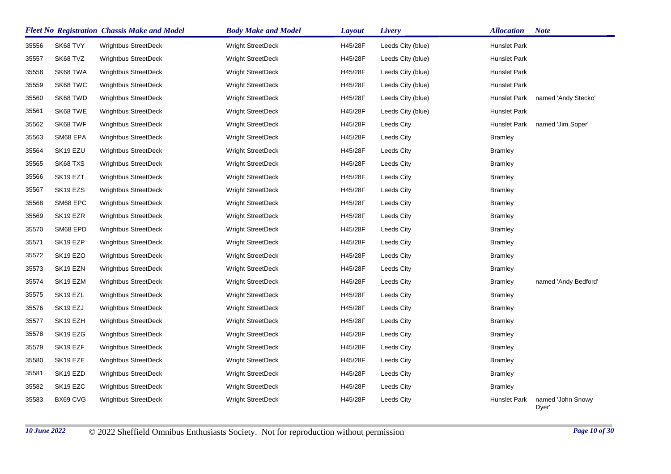|       |                      | <b>Fleet No Registration Chassis Make and Model</b> | <b>Body Make and Model</b> | Layout  | Livery            | <b>Allocation</b> | <b>Note</b>                |
|-------|----------------------|-----------------------------------------------------|----------------------------|---------|-------------------|-------------------|----------------------------|
| 35556 | SK68 TVY             | <b>Wrightbus StreetDeck</b>                         | <b>Wright StreetDeck</b>   | H45/28F | Leeds City (blue) | Hunslet Park      |                            |
| 35557 | SK68 TVZ             | <b>Wrightbus StreetDeck</b>                         | <b>Wright StreetDeck</b>   | H45/28F | Leeds City (blue) | Hunslet Park      |                            |
| 35558 | SK68 TWA             | <b>Wrightbus StreetDeck</b>                         | <b>Wright StreetDeck</b>   | H45/28F | Leeds City (blue) | Hunslet Park      |                            |
| 35559 | SK68 TWC             | <b>Wrightbus StreetDeck</b>                         | <b>Wright StreetDeck</b>   | H45/28F | Leeds City (blue) | Hunslet Park      |                            |
| 35560 | SK68 TWD             | <b>Wrightbus StreetDeck</b>                         | Wright StreetDeck          | H45/28F | Leeds City (blue) | Hunslet Park      | named 'Andy Stecko'        |
| 35561 | SK68 TWE             | <b>Wrightbus StreetDeck</b>                         | <b>Wright StreetDeck</b>   | H45/28F | Leeds City (blue) | Hunslet Park      |                            |
| 35562 | SK68 TWF             | Wrightbus StreetDeck                                | Wright StreetDeck          | H45/28F | Leeds City        | Hunslet Park      | named 'Jim Soper'          |
| 35563 | SM68 EPA             | <b>Wrightbus StreetDeck</b>                         | <b>Wright StreetDeck</b>   | H45/28F | Leeds City        | <b>Bramley</b>    |                            |
| 35564 | SK19 EZU             | <b>Wrightbus StreetDeck</b>                         | Wright StreetDeck          | H45/28F | Leeds City        | <b>Bramley</b>    |                            |
| 35565 | SK68 TXS             | <b>Wrightbus StreetDeck</b>                         | <b>Wright StreetDeck</b>   | H45/28F | Leeds City        | <b>Bramley</b>    |                            |
| 35566 | SK19 EZT             | <b>Wrightbus StreetDeck</b>                         | Wright StreetDeck          | H45/28F | Leeds City        | <b>Bramley</b>    |                            |
| 35567 | SK <sub>19</sub> EZS | <b>Wrightbus StreetDeck</b>                         | <b>Wright StreetDeck</b>   | H45/28F | Leeds City        | <b>Bramley</b>    |                            |
| 35568 | SM68 EPC             | <b>Wrightbus StreetDeck</b>                         | Wright StreetDeck          | H45/28F | Leeds City        | <b>Bramley</b>    |                            |
| 35569 | SK <sub>19</sub> EZR | <b>Wrightbus StreetDeck</b>                         | <b>Wright StreetDeck</b>   | H45/28F | Leeds City        | <b>Bramley</b>    |                            |
| 35570 | SM68 EPD             | Wrightbus StreetDeck                                | <b>Wright StreetDeck</b>   | H45/28F | Leeds City        | <b>Bramley</b>    |                            |
| 35571 | SK19 EZP             | <b>Wrightbus StreetDeck</b>                         | <b>Wright StreetDeck</b>   | H45/28F | Leeds City        | <b>Bramley</b>    |                            |
| 35572 | SK <sub>19</sub> EZO | <b>Wrightbus StreetDeck</b>                         | <b>Wright StreetDeck</b>   | H45/28F | Leeds City        | <b>Bramley</b>    |                            |
| 35573 | SK19 EZN             | <b>Wrightbus StreetDeck</b>                         | <b>Wright StreetDeck</b>   | H45/28F | Leeds City        | <b>Bramley</b>    |                            |
| 35574 | SK19 EZM             | <b>Wrightbus StreetDeck</b>                         | <b>Wright StreetDeck</b>   | H45/28F | Leeds City        | <b>Bramley</b>    | named 'Andy Bedford'       |
| 35575 | SK19 EZL             | Wrightbus StreetDeck                                | Wright StreetDeck          | H45/28F | Leeds City        | <b>Bramley</b>    |                            |
| 35576 | SK <sub>19</sub> EZJ | <b>Wrightbus StreetDeck</b>                         | <b>Wright StreetDeck</b>   | H45/28F | Leeds City        | <b>Bramley</b>    |                            |
| 35577 | SK19 EZH             | <b>Wrightbus StreetDeck</b>                         | Wright StreetDeck          | H45/28F | Leeds City        | <b>Bramley</b>    |                            |
| 35578 | SK <sub>19</sub> EZG | <b>Wrightbus StreetDeck</b>                         | <b>Wright StreetDeck</b>   | H45/28F | Leeds City        | <b>Bramley</b>    |                            |
| 35579 | SK19 EZF             | <b>Wrightbus StreetDeck</b>                         | Wright StreetDeck          | H45/28F | Leeds City        | <b>Bramley</b>    |                            |
| 35580 | SK <sub>19</sub> EZE | <b>Wrightbus StreetDeck</b>                         | <b>Wright StreetDeck</b>   | H45/28F | Leeds City        | <b>Bramley</b>    |                            |
| 35581 | SK19 EZD             | Wrightbus StreetDeck                                | Wright StreetDeck          | H45/28F | Leeds City        | <b>Bramley</b>    |                            |
| 35582 | SK <sub>19</sub> EZC | <b>Wrightbus StreetDeck</b>                         | <b>Wright StreetDeck</b>   | H45/28F | Leeds City        | <b>Bramley</b>    |                            |
| 35583 | BX69 CVG             | Wrightbus StreetDeck                                | Wright StreetDeck          | H45/28F | Leeds City        | Hunslet Park      | named 'John Snowy<br>Dyer' |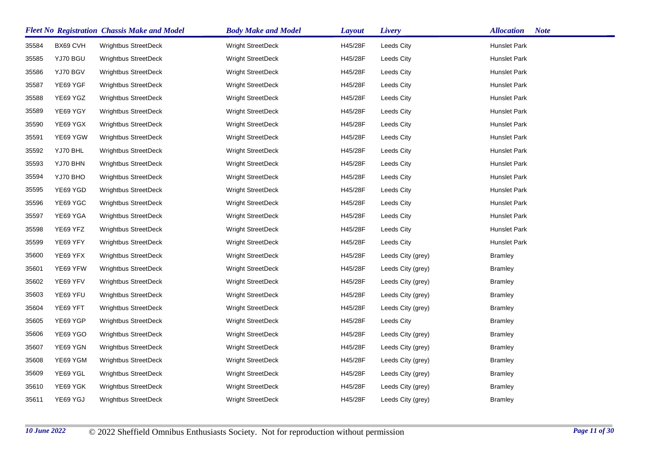|       |          | <b>Fleet No Registration Chassis Make and Model</b> | <b>Body Make and Model</b> | <b>Layout</b> | <b>Livery</b>     | <b>Note</b><br><b>Allocation</b> |
|-------|----------|-----------------------------------------------------|----------------------------|---------------|-------------------|----------------------------------|
| 35584 | BX69 CVH | <b>Wrightbus StreetDeck</b>                         | <b>Wright StreetDeck</b>   | H45/28F       | Leeds City        | Hunslet Park                     |
| 35585 | YJ70 BGU | <b>Wrightbus StreetDeck</b>                         | <b>Wright StreetDeck</b>   | H45/28F       | Leeds City        | Hunslet Park                     |
| 35586 | YJ70 BGV | <b>Wrightbus StreetDeck</b>                         | <b>Wright StreetDeck</b>   | H45/28F       | Leeds City        | Hunslet Park                     |
| 35587 | YE69 YGF | Wrightbus StreetDeck                                | Wright StreetDeck          | H45/28F       | Leeds City        | Hunslet Park                     |
| 35588 | YE69 YGZ | Wrightbus StreetDeck                                | Wright StreetDeck          | H45/28F       | Leeds City        | Hunslet Park                     |
| 35589 | YE69 YGY | Wrightbus StreetDeck                                | <b>Wright StreetDeck</b>   | H45/28F       | Leeds City        | Hunslet Park                     |
| 35590 | YE69 YGX | Wrightbus StreetDeck                                | <b>Wright StreetDeck</b>   | H45/28F       | Leeds City        | Hunslet Park                     |
| 35591 | YE69 YGW | Wrightbus StreetDeck                                | Wright StreetDeck          | H45/28F       | Leeds City        | Hunslet Park                     |
| 35592 | YJ70 BHL | <b>Wrightbus StreetDeck</b>                         | <b>Wright StreetDeck</b>   | H45/28F       | Leeds City        | Hunslet Park                     |
| 35593 | YJ70 BHN | <b>Wrightbus StreetDeck</b>                         | <b>Wright StreetDeck</b>   | H45/28F       | Leeds City        | Hunslet Park                     |
| 35594 | YJ70 BHO | <b>Wrightbus StreetDeck</b>                         | Wright StreetDeck          | H45/28F       | Leeds City        | Hunslet Park                     |
| 35595 | YE69 YGD | Wrightbus StreetDeck                                | <b>Wright StreetDeck</b>   | H45/28F       | Leeds City        | Hunslet Park                     |
| 35596 | YE69 YGC | <b>Wrightbus StreetDeck</b>                         | Wright StreetDeck          | H45/28F       | Leeds City        | Hunslet Park                     |
| 35597 | YE69 YGA | Wrightbus StreetDeck                                | <b>Wright StreetDeck</b>   | H45/28F       | Leeds City        | Hunslet Park                     |
| 35598 | YE69 YFZ | <b>Wrightbus StreetDeck</b>                         | <b>Wright StreetDeck</b>   | H45/28F       | Leeds City        | Hunslet Park                     |
| 35599 | YE69 YFY | <b>Wrightbus StreetDeck</b>                         | <b>Wright StreetDeck</b>   | H45/28F       | Leeds City        | Hunslet Park                     |
| 35600 | YE69 YFX | <b>Wrightbus StreetDeck</b>                         | <b>Wright StreetDeck</b>   | H45/28F       | Leeds City (grey) | <b>Bramley</b>                   |
| 35601 | YE69 YFW | <b>Wrightbus StreetDeck</b>                         | <b>Wright StreetDeck</b>   | H45/28F       | Leeds City (grey) | <b>Bramley</b>                   |
| 35602 | YE69 YFV | Wrightbus StreetDeck                                | Wright StreetDeck          | H45/28F       | Leeds City (grey) | <b>Bramley</b>                   |
| 35603 | YE69 YFU | <b>Wrightbus StreetDeck</b>                         | Wright StreetDeck          | H45/28F       | Leeds City (grey) | <b>Bramley</b>                   |
| 35604 | YE69 YFT | Wrightbus StreetDeck                                | Wright StreetDeck          | H45/28F       | Leeds City (grey) | <b>Bramley</b>                   |
| 35605 | YE69 YGP | <b>Wrightbus StreetDeck</b>                         | <b>Wright StreetDeck</b>   | H45/28F       | Leeds City        | <b>Bramley</b>                   |
| 35606 | YE69 YGO | <b>Wrightbus StreetDeck</b>                         | <b>Wright StreetDeck</b>   | H45/28F       | Leeds City (grey) | <b>Bramley</b>                   |
| 35607 | YE69 YGN | <b>Wrightbus StreetDeck</b>                         | <b>Wright StreetDeck</b>   | H45/28F       | Leeds City (grey) | <b>Bramley</b>                   |
| 35608 | YE69 YGM | <b>Wrightbus StreetDeck</b>                         | <b>Wright StreetDeck</b>   | H45/28F       | Leeds City (grey) | <b>Bramley</b>                   |
| 35609 | YE69 YGL | <b>Wrightbus StreetDeck</b>                         | Wright StreetDeck          | H45/28F       | Leeds City (grey) | <b>Bramley</b>                   |
| 35610 | YE69 YGK | <b>Wrightbus StreetDeck</b>                         | <b>Wright StreetDeck</b>   | H45/28F       | Leeds City (grey) | <b>Bramley</b>                   |
| 35611 | YE69 YGJ | Wrightbus StreetDeck                                | Wright StreetDeck          | H45/28F       | Leeds City (grey) | <b>Bramley</b>                   |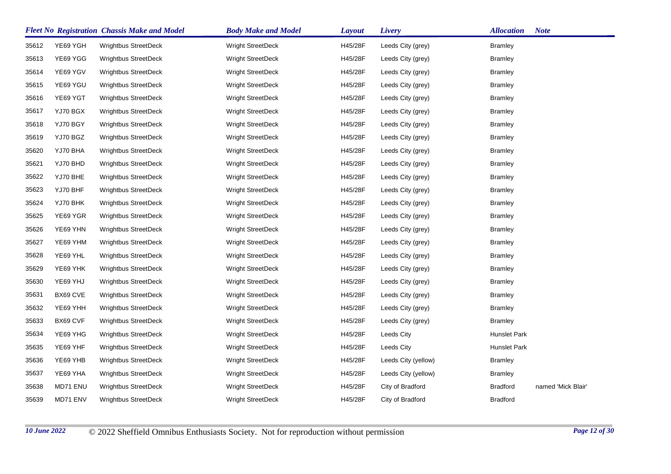|       |          | <b>Fleet No Registration Chassis Make and Model</b> | <b>Body Make and Model</b> | <b>Layout</b> | Livery              | <b>Allocation</b>   | <b>Note</b>        |
|-------|----------|-----------------------------------------------------|----------------------------|---------------|---------------------|---------------------|--------------------|
| 35612 | YE69 YGH | <b>Wrightbus StreetDeck</b>                         | <b>Wright StreetDeck</b>   | H45/28F       | Leeds City (grey)   | <b>Bramley</b>      |                    |
| 35613 | YE69 YGG | <b>Wrightbus StreetDeck</b>                         | <b>Wright StreetDeck</b>   | H45/28F       | Leeds City (grey)   | <b>Bramley</b>      |                    |
| 35614 | YE69 YGV | <b>Wrightbus StreetDeck</b>                         | <b>Wright StreetDeck</b>   | H45/28F       | Leeds City (grey)   | <b>Bramley</b>      |                    |
| 35615 | YE69 YGU | <b>Wrightbus StreetDeck</b>                         | <b>Wright StreetDeck</b>   | H45/28F       | Leeds City (grey)   | <b>Bramley</b>      |                    |
| 35616 | YE69 YGT | <b>Wrightbus StreetDeck</b>                         | Wright StreetDeck          | H45/28F       | Leeds City (grey)   | <b>Bramley</b>      |                    |
| 35617 | YJ70 BGX | <b>Wrightbus StreetDeck</b>                         | <b>Wright StreetDeck</b>   | H45/28F       | Leeds City (grey)   | Bramley             |                    |
| 35618 | YJ70 BGY | <b>Wrightbus StreetDeck</b>                         | <b>Wright StreetDeck</b>   | H45/28F       | Leeds City (grey)   | <b>Bramley</b>      |                    |
| 35619 | YJ70 BGZ | <b>Wrightbus StreetDeck</b>                         | Wright StreetDeck          | H45/28F       | Leeds City (grey)   | <b>Bramley</b>      |                    |
| 35620 | YJ70 BHA | <b>Wrightbus StreetDeck</b>                         | Wright StreetDeck          | H45/28F       | Leeds City (grey)   | <b>Bramley</b>      |                    |
| 35621 | YJ70 BHD | <b>Wrightbus StreetDeck</b>                         | <b>Wright StreetDeck</b>   | H45/28F       | Leeds City (grey)   | <b>Bramley</b>      |                    |
| 35622 | YJ70 BHE | <b>Wrightbus StreetDeck</b>                         | <b>Wright StreetDeck</b>   | H45/28F       | Leeds City (grey)   | <b>Bramley</b>      |                    |
| 35623 | YJ70 BHF | Wrightbus StreetDeck                                | Wright StreetDeck          | H45/28F       | Leeds City (grey)   | <b>Bramley</b>      |                    |
| 35624 | YJ70 BHK | <b>Wrightbus StreetDeck</b>                         | <b>Wright StreetDeck</b>   | H45/28F       | Leeds City (grey)   | Bramley             |                    |
| 35625 | YE69 YGR | <b>Wrightbus StreetDeck</b>                         | <b>Wright StreetDeck</b>   | H45/28F       | Leeds City (grey)   | <b>Bramley</b>      |                    |
| 35626 | YE69 YHN | <b>Wrightbus StreetDeck</b>                         | Wright StreetDeck          | H45/28F       | Leeds City (grey)   | <b>Bramley</b>      |                    |
| 35627 | YE69 YHM | <b>Wrightbus StreetDeck</b>                         | <b>Wright StreetDeck</b>   | H45/28F       | Leeds City (grey)   | Bramley             |                    |
| 35628 | YE69 YHL | <b>Wrightbus StreetDeck</b>                         | <b>Wright StreetDeck</b>   | H45/28F       | Leeds City (grey)   | <b>Bramley</b>      |                    |
| 35629 | YE69 YHK | <b>Wrightbus StreetDeck</b>                         | <b>Wright StreetDeck</b>   | H45/28F       | Leeds City (grey)   | <b>Bramley</b>      |                    |
| 35630 | YE69 YHJ | Wrightbus StreetDeck                                | Wright StreetDeck          | H45/28F       | Leeds City (grey)   | Bramley             |                    |
| 35631 | BX69 CVE | <b>Wrightbus StreetDeck</b>                         | <b>Wright StreetDeck</b>   | H45/28F       | Leeds City (grey)   | Bramley             |                    |
| 35632 | YE69 YHH | <b>Wrightbus StreetDeck</b>                         | <b>Wright StreetDeck</b>   | H45/28F       | Leeds City (grey)   | <b>Bramley</b>      |                    |
| 35633 | BX69 CVF | Wrightbus StreetDeck                                | Wright StreetDeck          | H45/28F       | Leeds City (grey)   | <b>Bramley</b>      |                    |
| 35634 | YE69 YHG | <b>Wrightbus StreetDeck</b>                         | <b>Wright StreetDeck</b>   | H45/28F       | Leeds City          | <b>Hunslet Park</b> |                    |
| 35635 | YE69 YHF | <b>Wrightbus StreetDeck</b>                         | <b>Wright StreetDeck</b>   | H45/28F       | Leeds City          | Hunslet Park        |                    |
| 35636 | YE69 YHB | <b>Wrightbus StreetDeck</b>                         | <b>Wright StreetDeck</b>   | H45/28F       | Leeds City (yellow) | <b>Bramley</b>      |                    |
| 35637 | YE69 YHA | Wrightbus StreetDeck                                | Wright StreetDeck          | H45/28F       | Leeds City (yellow) | <b>Bramley</b>      |                    |
| 35638 | MD71 ENU | <b>Wrightbus StreetDeck</b>                         | <b>Wright StreetDeck</b>   | H45/28F       | City of Bradford    | <b>Bradford</b>     | named 'Mick Blair' |
| 35639 | MD71 ENV | <b>Wrightbus StreetDeck</b>                         | <b>Wright StreetDeck</b>   | H45/28F       | City of Bradford    | <b>Bradford</b>     |                    |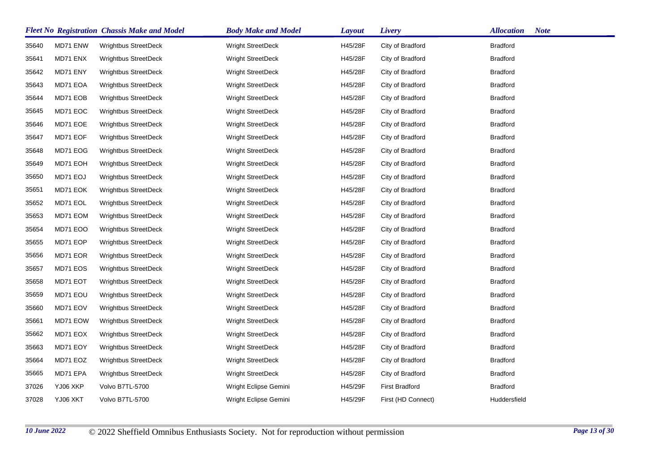|       |          | <b>Fleet No Registration Chassis Make and Model</b> | <b>Body Make and Model</b> | <b>Layout</b> | Livery                | <b>Allocation</b><br><b>Note</b> |
|-------|----------|-----------------------------------------------------|----------------------------|---------------|-----------------------|----------------------------------|
| 35640 | MD71 ENW | <b>Wrightbus StreetDeck</b>                         | <b>Wright StreetDeck</b>   | H45/28F       | City of Bradford      | <b>Bradford</b>                  |
| 35641 | MD71 ENX | <b>Wrightbus StreetDeck</b>                         | <b>Wright StreetDeck</b>   | H45/28F       | City of Bradford      | <b>Bradford</b>                  |
| 35642 | MD71 ENY | <b>Wrightbus StreetDeck</b>                         | Wright StreetDeck          | H45/28F       | City of Bradford      | <b>Bradford</b>                  |
| 35643 | MD71 EOA | <b>Wrightbus StreetDeck</b>                         | Wright StreetDeck          | H45/28F       | City of Bradford      | <b>Bradford</b>                  |
| 35644 | MD71 EOB | Wrightbus StreetDeck                                | Wright StreetDeck          | H45/28F       | City of Bradford      | <b>Bradford</b>                  |
| 35645 | MD71 EOC | <b>Wrightbus StreetDeck</b>                         | <b>Wright StreetDeck</b>   | H45/28F       | City of Bradford      | <b>Bradford</b>                  |
| 35646 | MD71 EOE | <b>Wrightbus StreetDeck</b>                         | <b>Wright StreetDeck</b>   | H45/28F       | City of Bradford      | <b>Bradford</b>                  |
| 35647 | MD71 EOF | <b>Wrightbus StreetDeck</b>                         | Wright StreetDeck          | H45/28F       | City of Bradford      | <b>Bradford</b>                  |
| 35648 | MD71 EOG | <b>Wrightbus StreetDeck</b>                         | <b>Wright StreetDeck</b>   | H45/28F       | City of Bradford      | <b>Bradford</b>                  |
| 35649 | MD71 EOH | <b>Wrightbus StreetDeck</b>                         | <b>Wright StreetDeck</b>   | H45/28F       | City of Bradford      | <b>Bradford</b>                  |
| 35650 | MD71 EOJ | Wrightbus StreetDeck                                | Wright StreetDeck          | H45/28F       | City of Bradford      | <b>Bradford</b>                  |
| 35651 | MD71 EOK | <b>Wrightbus StreetDeck</b>                         | <b>Wright StreetDeck</b>   | H45/28F       | City of Bradford      | <b>Bradford</b>                  |
| 35652 | MD71 EOL | <b>Wrightbus StreetDeck</b>                         | <b>Wright StreetDeck</b>   | H45/28F       | City of Bradford      | <b>Bradford</b>                  |
| 35653 | MD71 EOM | <b>Wrightbus StreetDeck</b>                         | <b>Wright StreetDeck</b>   | H45/28F       | City of Bradford      | <b>Bradford</b>                  |
| 35654 | MD71 EOO | <b>Wrightbus StreetDeck</b>                         | <b>Wright StreetDeck</b>   | H45/28F       | City of Bradford      | <b>Bradford</b>                  |
| 35655 | MD71 EOP | <b>Wrightbus StreetDeck</b>                         | <b>Wright StreetDeck</b>   | H45/28F       | City of Bradford      | <b>Bradford</b>                  |
| 35656 | MD71 EOR | <b>Wrightbus StreetDeck</b>                         | <b>Wright StreetDeck</b>   | H45/28F       | City of Bradford      | <b>Bradford</b>                  |
| 35657 | MD71 EOS | <b>Wrightbus StreetDeck</b>                         | <b>Wright StreetDeck</b>   | H45/28F       | City of Bradford      | <b>Bradford</b>                  |
| 35658 | MD71 EOT | <b>Wrightbus StreetDeck</b>                         | Wright StreetDeck          | H45/28F       | City of Bradford      | <b>Bradford</b>                  |
| 35659 | MD71 EOU | Wrightbus StreetDeck                                | Wright StreetDeck          | H45/28F       | City of Bradford      | <b>Bradford</b>                  |
| 35660 | MD71 EOV | Wrightbus StreetDeck                                | <b>Wright StreetDeck</b>   | H45/28F       | City of Bradford      | <b>Bradford</b>                  |
| 35661 | MD71 EOW | <b>Wrightbus StreetDeck</b>                         | <b>Wright StreetDeck</b>   | H45/28F       | City of Bradford      | <b>Bradford</b>                  |
| 35662 | MD71 EOX | <b>Wrightbus StreetDeck</b>                         | <b>Wright StreetDeck</b>   | H45/28F       | City of Bradford      | <b>Bradford</b>                  |
| 35663 | MD71 EOY | <b>Wrightbus StreetDeck</b>                         | <b>Wright StreetDeck</b>   | H45/28F       | City of Bradford      | <b>Bradford</b>                  |
| 35664 | MD71 EOZ | <b>Wrightbus StreetDeck</b>                         | <b>Wright StreetDeck</b>   | H45/28F       | City of Bradford      | <b>Bradford</b>                  |
| 35665 | MD71 EPA | <b>Wrightbus StreetDeck</b>                         | <b>Wright StreetDeck</b>   | H45/28F       | City of Bradford      | <b>Bradford</b>                  |
| 37026 | YJ06 XKP | Volvo B7TL-5700                                     | Wright Eclipse Gemini      | H45/29F       | <b>First Bradford</b> | <b>Bradford</b>                  |
| 37028 | YJ06 XKT | Volvo B7TL-5700                                     | Wright Eclipse Gemini      | H45/29F       | First (HD Connect)    | Huddersfield                     |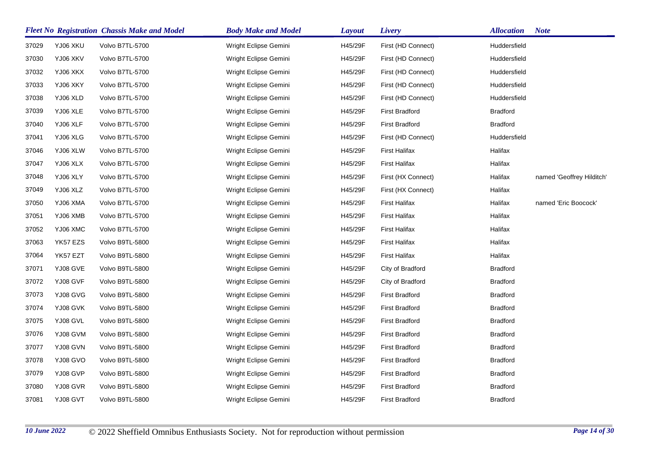|       |          | <b>Fleet No Registration Chassis Make and Model</b> | <b>Body Make and Model</b> | <b>Layout</b> | Livery                | <b>Allocation</b> | <b>Note</b>               |
|-------|----------|-----------------------------------------------------|----------------------------|---------------|-----------------------|-------------------|---------------------------|
| 37029 | YJ06 XKU | Volvo B7TL-5700                                     | Wright Eclipse Gemini      | H45/29F       | First (HD Connect)    | Huddersfield      |                           |
| 37030 | YJ06 XKV | Volvo B7TL-5700                                     | Wright Eclipse Gemini      | H45/29F       | First (HD Connect)    | Huddersfield      |                           |
| 37032 | YJ06 XKX | Volvo B7TL-5700                                     | Wright Eclipse Gemini      | H45/29F       | First (HD Connect)    | Huddersfield      |                           |
| 37033 | YJ06 XKY | Volvo B7TL-5700                                     | Wright Eclipse Gemini      | H45/29F       | First (HD Connect)    | Huddersfield      |                           |
| 37038 | YJ06 XLD | Volvo B7TL-5700                                     | Wright Eclipse Gemini      | H45/29F       | First (HD Connect)    | Huddersfield      |                           |
| 37039 | YJ06 XLE | Volvo B7TL-5700                                     | Wright Eclipse Gemini      | H45/29F       | <b>First Bradford</b> | <b>Bradford</b>   |                           |
| 37040 | YJ06 XLF | Volvo B7TL-5700                                     | Wright Eclipse Gemini      | H45/29F       | <b>First Bradford</b> | <b>Bradford</b>   |                           |
| 37041 | YJ06 XLG | Volvo B7TL-5700                                     | Wright Eclipse Gemini      | H45/29F       | First (HD Connect)    | Huddersfield      |                           |
| 37046 | YJ06 XLW | Volvo B7TL-5700                                     | Wright Eclipse Gemini      | H45/29F       | <b>First Halifax</b>  | Halifax           |                           |
| 37047 | YJ06 XLX | Volvo B7TL-5700                                     | Wright Eclipse Gemini      | H45/29F       | <b>First Halifax</b>  | Halifax           |                           |
| 37048 | YJ06 XLY | Volvo B7TL-5700                                     | Wright Eclipse Gemini      | H45/29F       | First (HX Connect)    | Halifax           | named 'Geoffrey Hilditch' |
| 37049 | YJ06 XLZ | Volvo B7TL-5700                                     | Wright Eclipse Gemini      | H45/29F       | First (HX Connect)    | Halifax           |                           |
| 37050 | YJ06 XMA | Volvo B7TL-5700                                     | Wright Eclipse Gemini      | H45/29F       | <b>First Halifax</b>  | Halifax           | named 'Eric Boocock'      |
| 37051 | YJ06 XMB | Volvo B7TL-5700                                     | Wright Eclipse Gemini      | H45/29F       | <b>First Halifax</b>  | Halifax           |                           |
| 37052 | YJ06 XMC | Volvo B7TL-5700                                     | Wright Eclipse Gemini      | H45/29F       | <b>First Halifax</b>  | Halifax           |                           |
| 37063 | YK57 EZS | Volvo B9TL-5800                                     | Wright Eclipse Gemini      | H45/29F       | <b>First Halifax</b>  | Halifax           |                           |
| 37064 | YK57 EZT | Volvo B9TL-5800                                     | Wright Eclipse Gemini      | H45/29F       | <b>First Halifax</b>  | Halifax           |                           |
| 37071 | YJ08 GVE | Volvo B9TL-5800                                     | Wright Eclipse Gemini      | H45/29F       | City of Bradford      | <b>Bradford</b>   |                           |
| 37072 | YJ08 GVF | Volvo B9TL-5800                                     | Wright Eclipse Gemini      | H45/29F       | City of Bradford      | <b>Bradford</b>   |                           |
| 37073 | YJ08 GVG | Volvo B9TL-5800                                     | Wright Eclipse Gemini      | H45/29F       | <b>First Bradford</b> | <b>Bradford</b>   |                           |
| 37074 | YJ08 GVK | Volvo B9TL-5800                                     | Wright Eclipse Gemini      | H45/29F       | <b>First Bradford</b> | <b>Bradford</b>   |                           |
| 37075 | YJ08 GVL | Volvo B9TL-5800                                     | Wright Eclipse Gemini      | H45/29F       | <b>First Bradford</b> | <b>Bradford</b>   |                           |
| 37076 | YJ08 GVM | Volvo B9TL-5800                                     | Wright Eclipse Gemini      | H45/29F       | <b>First Bradford</b> | <b>Bradford</b>   |                           |
| 37077 | YJ08 GVN | Volvo B9TL-5800                                     | Wright Eclipse Gemini      | H45/29F       | <b>First Bradford</b> | <b>Bradford</b>   |                           |
| 37078 | YJ08 GVO | Volvo B9TL-5800                                     | Wright Eclipse Gemini      | H45/29F       | <b>First Bradford</b> | <b>Bradford</b>   |                           |
| 37079 | YJ08 GVP | Volvo B9TL-5800                                     | Wright Eclipse Gemini      | H45/29F       | <b>First Bradford</b> | <b>Bradford</b>   |                           |
| 37080 | YJ08 GVR | Volvo B9TL-5800                                     | Wright Eclipse Gemini      | H45/29F       | <b>First Bradford</b> | <b>Bradford</b>   |                           |
| 37081 | YJ08 GVT | Volvo B9TL-5800                                     | Wright Eclipse Gemini      | H45/29F       | <b>First Bradford</b> | <b>Bradford</b>   |                           |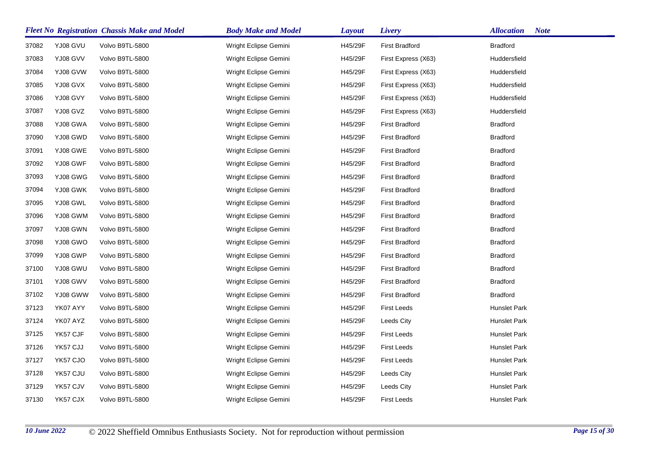|       |          | <b>Fleet No Registration Chassis Make and Model</b> | <b>Body Make and Model</b> | <b>Layout</b> | Livery                | <b>Note</b><br><b>Allocation</b> |
|-------|----------|-----------------------------------------------------|----------------------------|---------------|-----------------------|----------------------------------|
| 37082 | YJ08 GVU | Volvo B9TL-5800                                     | Wright Eclipse Gemini      | H45/29F       | <b>First Bradford</b> | <b>Bradford</b>                  |
| 37083 | YJ08 GVV | Volvo B9TL-5800                                     | Wright Eclipse Gemini      | H45/29F       | First Express (X63)   | Huddersfield                     |
| 37084 | YJ08 GVW | Volvo B9TL-5800                                     | Wright Eclipse Gemini      | H45/29F       | First Express (X63)   | Huddersfield                     |
| 37085 | YJ08 GVX | Volvo B9TL-5800                                     | Wright Eclipse Gemini      | H45/29F       | First Express (X63)   | Huddersfield                     |
| 37086 | YJ08 GVY | Volvo B9TL-5800                                     | Wright Eclipse Gemini      | H45/29F       | First Express (X63)   | Huddersfield                     |
| 37087 | YJ08 GVZ | Volvo B9TL-5800                                     | Wright Eclipse Gemini      | H45/29F       | First Express (X63)   | Huddersfield                     |
| 37088 | YJ08 GWA | Volvo B9TL-5800                                     | Wright Eclipse Gemini      | H45/29F       | <b>First Bradford</b> | <b>Bradford</b>                  |
| 37090 | YJ08 GWD | Volvo B9TL-5800                                     | Wright Eclipse Gemini      | H45/29F       | <b>First Bradford</b> | <b>Bradford</b>                  |
| 37091 | YJ08 GWE | Volvo B9TL-5800                                     | Wright Eclipse Gemini      | H45/29F       | <b>First Bradford</b> | <b>Bradford</b>                  |
| 37092 | YJ08 GWF | Volvo B9TL-5800                                     | Wright Eclipse Gemini      | H45/29F       | <b>First Bradford</b> | <b>Bradford</b>                  |
| 37093 | YJ08 GWG | Volvo B9TL-5800                                     | Wright Eclipse Gemini      | H45/29F       | <b>First Bradford</b> | <b>Bradford</b>                  |
| 37094 | YJ08 GWK | Volvo B9TL-5800                                     | Wright Eclipse Gemini      | H45/29F       | <b>First Bradford</b> | <b>Bradford</b>                  |
| 37095 | YJ08 GWL | Volvo B9TL-5800                                     | Wright Eclipse Gemini      | H45/29F       | <b>First Bradford</b> | <b>Bradford</b>                  |
| 37096 | YJ08 GWM | Volvo B9TL-5800                                     | Wright Eclipse Gemini      | H45/29F       | <b>First Bradford</b> | <b>Bradford</b>                  |
| 37097 | YJ08 GWN | Volvo B9TL-5800                                     | Wright Eclipse Gemini      | H45/29F       | <b>First Bradford</b> | <b>Bradford</b>                  |
| 37098 | YJ08 GWO | Volvo B9TL-5800                                     | Wright Eclipse Gemini      | H45/29F       | <b>First Bradford</b> | <b>Bradford</b>                  |
| 37099 | YJ08 GWP | Volvo B9TL-5800                                     | Wright Eclipse Gemini      | H45/29F       | <b>First Bradford</b> | <b>Bradford</b>                  |
| 37100 | YJ08 GWU | Volvo B9TL-5800                                     | Wright Eclipse Gemini      | H45/29F       | <b>First Bradford</b> | <b>Bradford</b>                  |
| 37101 | YJ08 GWV | Volvo B9TL-5800                                     | Wright Eclipse Gemini      | H45/29F       | <b>First Bradford</b> | <b>Bradford</b>                  |
| 37102 | YJ08 GWW | Volvo B9TL-5800                                     | Wright Eclipse Gemini      | H45/29F       | <b>First Bradford</b> | <b>Bradford</b>                  |
| 37123 | YK07 AYY | Volvo B9TL-5800                                     | Wright Eclipse Gemini      | H45/29F       | <b>First Leeds</b>    | Hunslet Park                     |
| 37124 | YK07 AYZ | Volvo B9TL-5800                                     | Wright Eclipse Gemini      | H45/29F       | Leeds City            | Hunslet Park                     |
| 37125 | YK57 CJF | Volvo B9TL-5800                                     | Wright Eclipse Gemini      | H45/29F       | <b>First Leeds</b>    | Hunslet Park                     |
| 37126 | YK57 CJJ | Volvo B9TL-5800                                     | Wright Eclipse Gemini      | H45/29F       | <b>First Leeds</b>    | Hunslet Park                     |
| 37127 | YK57 CJO | Volvo B9TL-5800                                     | Wright Eclipse Gemini      | H45/29F       | <b>First Leeds</b>    | Hunslet Park                     |
| 37128 | YK57 CJU | Volvo B9TL-5800                                     | Wright Eclipse Gemini      | H45/29F       | Leeds City            | Hunslet Park                     |
| 37129 | YK57 CJV | Volvo B9TL-5800                                     | Wright Eclipse Gemini      | H45/29F       | Leeds City            | Hunslet Park                     |
| 37130 | YK57 CJX | Volvo B9TL-5800                                     | Wright Eclipse Gemini      | H45/29F       | <b>First Leeds</b>    | Hunslet Park                     |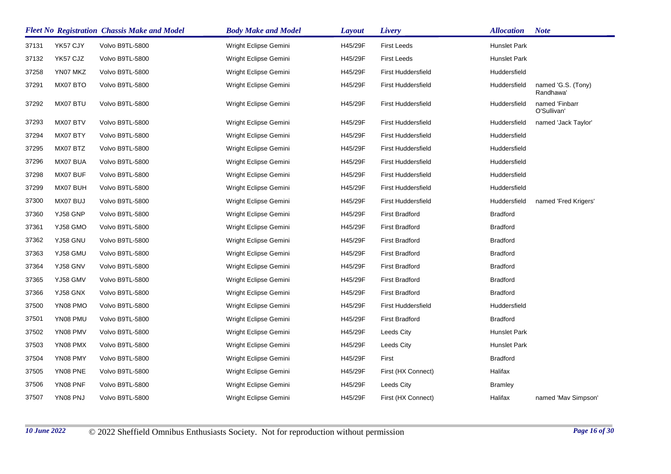|       | <b>Fleet No Registration Chassis Make and Model</b> |                 | <b>Body Make and Model</b> | Layout  | Livery                    | <b>Allocation</b> | <b>Note</b>                     |
|-------|-----------------------------------------------------|-----------------|----------------------------|---------|---------------------------|-------------------|---------------------------------|
| 37131 | YK57 CJY                                            | Volvo B9TL-5800 | Wright Eclipse Gemini      | H45/29F | <b>First Leeds</b>        | Hunslet Park      |                                 |
| 37132 | YK57 CJZ                                            | Volvo B9TL-5800 | Wright Eclipse Gemini      | H45/29F | <b>First Leeds</b>        | Hunslet Park      |                                 |
| 37258 | YN07 MKZ                                            | Volvo B9TL-5800 | Wright Eclipse Gemini      | H45/29F | <b>First Huddersfield</b> | Huddersfield      |                                 |
| 37291 | MX07 BTO                                            | Volvo B9TL-5800 | Wright Eclipse Gemini      | H45/29F | <b>First Huddersfield</b> | Huddersfield      | named 'G.S. (Tony)<br>Randhawa' |
| 37292 | MX07 BTU                                            | Volvo B9TL-5800 | Wright Eclipse Gemini      | H45/29F | <b>First Huddersfield</b> | Huddersfield      | named 'Finbarr<br>O'Sullivan'   |
| 37293 | MX07 BTV                                            | Volvo B9TL-5800 | Wright Eclipse Gemini      | H45/29F | <b>First Huddersfield</b> | Huddersfield      | named 'Jack Taylor'             |
| 37294 | MX07 BTY                                            | Volvo B9TL-5800 | Wright Eclipse Gemini      | H45/29F | <b>First Huddersfield</b> | Huddersfield      |                                 |
| 37295 | MX07 BTZ                                            | Volvo B9TL-5800 | Wright Eclipse Gemini      | H45/29F | <b>First Huddersfield</b> | Huddersfield      |                                 |
| 37296 | MX07 BUA                                            | Volvo B9TL-5800 | Wright Eclipse Gemini      | H45/29F | <b>First Huddersfield</b> | Huddersfield      |                                 |
| 37298 | MX07 BUF                                            | Volvo B9TL-5800 | Wright Eclipse Gemini      | H45/29F | <b>First Huddersfield</b> | Huddersfield      |                                 |
| 37299 | MX07 BUH                                            | Volvo B9TL-5800 | Wright Eclipse Gemini      | H45/29F | <b>First Huddersfield</b> | Huddersfield      |                                 |
| 37300 | MX07 BUJ                                            | Volvo B9TL-5800 | Wright Eclipse Gemini      | H45/29F | <b>First Huddersfield</b> | Huddersfield      | named 'Fred Krigers'            |
| 37360 | YJ58 GNP                                            | Volvo B9TL-5800 | Wright Eclipse Gemini      | H45/29F | <b>First Bradford</b>     | <b>Bradford</b>   |                                 |
| 37361 | YJ58 GMO                                            | Volvo B9TL-5800 | Wright Eclipse Gemini      | H45/29F | <b>First Bradford</b>     | <b>Bradford</b>   |                                 |
| 37362 | YJ58 GNU                                            | Volvo B9TL-5800 | Wright Eclipse Gemini      | H45/29F | <b>First Bradford</b>     | <b>Bradford</b>   |                                 |
| 37363 | YJ58 GMU                                            | Volvo B9TL-5800 | Wright Eclipse Gemini      | H45/29F | <b>First Bradford</b>     | <b>Bradford</b>   |                                 |
| 37364 | YJ58 GNV                                            | Volvo B9TL-5800 | Wright Eclipse Gemini      | H45/29F | <b>First Bradford</b>     | <b>Bradford</b>   |                                 |
| 37365 | YJ58 GMV                                            | Volvo B9TL-5800 | Wright Eclipse Gemini      | H45/29F | <b>First Bradford</b>     | <b>Bradford</b>   |                                 |
| 37366 | YJ58 GNX                                            | Volvo B9TL-5800 | Wright Eclipse Gemini      | H45/29F | <b>First Bradford</b>     | <b>Bradford</b>   |                                 |
| 37500 | YN08 PMO                                            | Volvo B9TL-5800 | Wright Eclipse Gemini      | H45/29F | <b>First Huddersfield</b> | Huddersfield      |                                 |
| 37501 | YN08 PMU                                            | Volvo B9TL-5800 | Wright Eclipse Gemini      | H45/29F | <b>First Bradford</b>     | <b>Bradford</b>   |                                 |
| 37502 | YN08 PMV                                            | Volvo B9TL-5800 | Wright Eclipse Gemini      | H45/29F | Leeds City                | Hunslet Park      |                                 |
| 37503 | YN08 PMX                                            | Volvo B9TL-5800 | Wright Eclipse Gemini      | H45/29F | Leeds City                | Hunslet Park      |                                 |
| 37504 | YN08 PMY                                            | Volvo B9TL-5800 | Wright Eclipse Gemini      | H45/29F | First                     | <b>Bradford</b>   |                                 |
| 37505 | YN08 PNE                                            | Volvo B9TL-5800 | Wright Eclipse Gemini      | H45/29F | First (HX Connect)        | Halifax           |                                 |
| 37506 | YN08 PNF                                            | Volvo B9TL-5800 | Wright Eclipse Gemini      | H45/29F | Leeds City                | <b>Bramley</b>    |                                 |
| 37507 | YN08 PNJ                                            | Volvo B9TL-5800 | Wright Eclipse Gemini      | H45/29F | First (HX Connect)        | Halifax           | named 'Mav Simpson'             |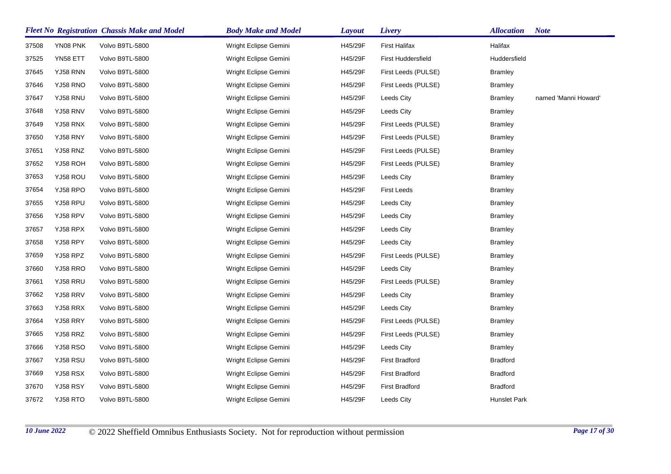|       |                 | <b>Fleet No Registration Chassis Make and Model</b> | <b>Body Make and Model</b> | <b>Layout</b> | Livery                | <b>Allocation</b> | <b>Note</b>          |
|-------|-----------------|-----------------------------------------------------|----------------------------|---------------|-----------------------|-------------------|----------------------|
| 37508 | YN08 PNK        | Volvo B9TL-5800                                     | Wright Eclipse Gemini      | H45/29F       | First Halifax         | Halifax           |                      |
| 37525 | YN58 ETT        | Volvo B9TL-5800                                     | Wright Eclipse Gemini      | H45/29F       | First Huddersfield    | Huddersfield      |                      |
| 37645 | YJ58 RNN        | Volvo B9TL-5800                                     | Wright Eclipse Gemini      | H45/29F       | First Leeds (PULSE)   | Bramley           |                      |
| 37646 | YJ58 RNO        | Volvo B9TL-5800                                     | Wright Eclipse Gemini      | H45/29F       | First Leeds (PULSE)   | Bramley           |                      |
| 37647 | YJ58 RNU        | Volvo B9TL-5800                                     | Wright Eclipse Gemini      | H45/29F       | Leeds City            | <b>Bramley</b>    | named 'Manni Howard' |
| 37648 | YJ58 RNV        | Volvo B9TL-5800                                     | Wright Eclipse Gemini      | H45/29F       | Leeds City            | Bramley           |                      |
| 37649 | YJ58 RNX        | Volvo B9TL-5800                                     | Wright Eclipse Gemini      | H45/29F       | First Leeds (PULSE)   | <b>Bramley</b>    |                      |
| 37650 | YJ58 RNY        | Volvo B9TL-5800                                     | Wright Eclipse Gemini      | H45/29F       | First Leeds (PULSE)   | <b>Bramley</b>    |                      |
| 37651 | YJ58 RNZ        | Volvo B9TL-5800                                     | Wright Eclipse Gemini      | H45/29F       | First Leeds (PULSE)   | Bramley           |                      |
| 37652 | YJ58 ROH        | Volvo B9TL-5800                                     | Wright Eclipse Gemini      | H45/29F       | First Leeds (PULSE)   | Bramley           |                      |
| 37653 | YJ58 ROU        | Volvo B9TL-5800                                     | Wright Eclipse Gemini      | H45/29F       | Leeds City            | <b>Bramley</b>    |                      |
| 37654 | YJ58 RPO        | Volvo B9TL-5800                                     | Wright Eclipse Gemini      | H45/29F       | <b>First Leeds</b>    | Bramley           |                      |
| 37655 | YJ58 RPU        | Volvo B9TL-5800                                     | Wright Eclipse Gemini      | H45/29F       | Leeds City            | <b>Bramley</b>    |                      |
| 37656 | YJ58 RPV        | Volvo B9TL-5800                                     | Wright Eclipse Gemini      | H45/29F       | Leeds City            | <b>Bramley</b>    |                      |
| 37657 | YJ58 RPX        | Volvo B9TL-5800                                     | Wright Eclipse Gemini      | H45/29F       | Leeds City            | <b>Bramley</b>    |                      |
| 37658 | YJ58 RPY        | Volvo B9TL-5800                                     | Wright Eclipse Gemini      | H45/29F       | Leeds City            | <b>Bramley</b>    |                      |
| 37659 | YJ58 RPZ        | Volvo B9TL-5800                                     | Wright Eclipse Gemini      | H45/29F       | First Leeds (PULSE)   | Bramley           |                      |
| 37660 | YJ58 RRO        | Volvo B9TL-5800                                     | Wright Eclipse Gemini      | H45/29F       | Leeds City            | <b>Bramley</b>    |                      |
| 37661 | YJ58 RRU        | Volvo B9TL-5800                                     | Wright Eclipse Gemini      | H45/29F       | First Leeds (PULSE)   | Bramley           |                      |
| 37662 | YJ58 RRV        | Volvo B9TL-5800                                     | Wright Eclipse Gemini      | H45/29F       | Leeds City            | <b>Bramley</b>    |                      |
| 37663 | YJ58 RRX        | Volvo B9TL-5800                                     | Wright Eclipse Gemini      | H45/29F       | Leeds City            | <b>Bramley</b>    |                      |
| 37664 | YJ58 RRY        | Volvo B9TL-5800                                     | Wright Eclipse Gemini      | H45/29F       | First Leeds (PULSE)   | Bramley           |                      |
| 37665 | YJ58 RRZ        | Volvo B9TL-5800                                     | Wright Eclipse Gemini      | H45/29F       | First Leeds (PULSE)   | Bramley           |                      |
| 37666 | <b>YJ58 RSO</b> | Volvo B9TL-5800                                     | Wright Eclipse Gemini      | H45/29F       | Leeds City            | Bramley           |                      |
| 37667 | YJ58 RSU        | Volvo B9TL-5800                                     | Wright Eclipse Gemini      | H45/29F       | <b>First Bradford</b> | <b>Bradford</b>   |                      |
| 37669 | YJ58 RSX        | Volvo B9TL-5800                                     | Wright Eclipse Gemini      | H45/29F       | <b>First Bradford</b> | <b>Bradford</b>   |                      |
| 37670 | YJ58 RSY        | Volvo B9TL-5800                                     | Wright Eclipse Gemini      | H45/29F       | <b>First Bradford</b> | <b>Bradford</b>   |                      |
| 37672 | YJ58 RTO        | Volvo B9TL-5800                                     | Wright Eclipse Gemini      | H45/29F       | Leeds City            | Hunslet Park      |                      |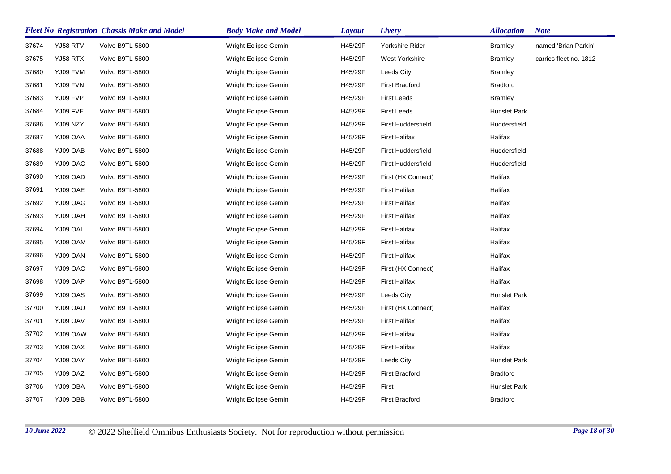|       |          | <b>Fleet No Registration Chassis Make and Model</b> | <b>Body Make and Model</b> | <b>Layout</b> | Livery                    | <b>Allocation</b>   | <b>Note</b>            |
|-------|----------|-----------------------------------------------------|----------------------------|---------------|---------------------------|---------------------|------------------------|
| 37674 | YJ58 RTV | Volvo B9TL-5800                                     | Wright Eclipse Gemini      | H45/29F       | Yorkshire Rider           | <b>Bramley</b>      | named 'Brian Parkin'   |
| 37675 | YJ58 RTX | Volvo B9TL-5800                                     | Wright Eclipse Gemini      | H45/29F       | West Yorkshire            | <b>Bramley</b>      | carries fleet no. 1812 |
| 37680 | YJ09 FVM | Volvo B9TL-5800                                     | Wright Eclipse Gemini      | H45/29F       | Leeds City                | <b>Bramley</b>      |                        |
| 37681 | YJ09 FVN | Volvo B9TL-5800                                     | Wright Eclipse Gemini      | H45/29F       | <b>First Bradford</b>     | <b>Bradford</b>     |                        |
| 37683 | YJ09 FVP | Volvo B9TL-5800                                     | Wright Eclipse Gemini      | H45/29F       | <b>First Leeds</b>        | <b>Bramley</b>      |                        |
| 37684 | YJ09 FVE | Volvo B9TL-5800                                     | Wright Eclipse Gemini      | H45/29F       | <b>First Leeds</b>        | Hunslet Park        |                        |
| 37686 | YJ09 NZY | Volvo B9TL-5800                                     | Wright Eclipse Gemini      | H45/29F       | <b>First Huddersfield</b> | Huddersfield        |                        |
| 37687 | YJ09 OAA | Volvo B9TL-5800                                     | Wright Eclipse Gemini      | H45/29F       | <b>First Halifax</b>      | Halifax             |                        |
| 37688 | YJ09 OAB | Volvo B9TL-5800                                     | Wright Eclipse Gemini      | H45/29F       | First Huddersfield        | Huddersfield        |                        |
| 37689 | YJ09 OAC | Volvo B9TL-5800                                     | Wright Eclipse Gemini      | H45/29F       | First Huddersfield        | Huddersfield        |                        |
| 37690 | YJ09 OAD | Volvo B9TL-5800                                     | Wright Eclipse Gemini      | H45/29F       | First (HX Connect)        | Halifax             |                        |
| 37691 | YJ09 OAE | Volvo B9TL-5800                                     | Wright Eclipse Gemini      | H45/29F       | <b>First Halifax</b>      | Halifax             |                        |
| 37692 | YJ09 OAG | Volvo B9TL-5800                                     | Wright Eclipse Gemini      | H45/29F       | <b>First Halifax</b>      | Halifax             |                        |
| 37693 | YJ09 OAH | Volvo B9TL-5800                                     | Wright Eclipse Gemini      | H45/29F       | <b>First Halifax</b>      | Halifax             |                        |
| 37694 | YJ09 OAL | Volvo B9TL-5800                                     | Wright Eclipse Gemini      | H45/29F       | <b>First Halifax</b>      | Halifax             |                        |
| 37695 | YJ09 OAM | Volvo B9TL-5800                                     | Wright Eclipse Gemini      | H45/29F       | <b>First Halifax</b>      | Halifax             |                        |
| 37696 | YJ09 OAN | Volvo B9TL-5800                                     | Wright Eclipse Gemini      | H45/29F       | <b>First Halifax</b>      | Halifax             |                        |
| 37697 | YJ09 OAO | Volvo B9TL-5800                                     | Wright Eclipse Gemini      | H45/29F       | First (HX Connect)        | Halifax             |                        |
| 37698 | YJ09 OAP | Volvo B9TL-5800                                     | Wright Eclipse Gemini      | H45/29F       | <b>First Halifax</b>      | Halifax             |                        |
| 37699 | YJ09 OAS | Volvo B9TL-5800                                     | Wright Eclipse Gemini      | H45/29F       | Leeds City                | Hunslet Park        |                        |
| 37700 | YJ09 OAU | Volvo B9TL-5800                                     | Wright Eclipse Gemini      | H45/29F       | First (HX Connect)        | Halifax             |                        |
| 37701 | YJ09 OAV | Volvo B9TL-5800                                     | Wright Eclipse Gemini      | H45/29F       | <b>First Halifax</b>      | Halifax             |                        |
| 37702 | YJ09 OAW | Volvo B9TL-5800                                     | Wright Eclipse Gemini      | H45/29F       | <b>First Halifax</b>      | Halifax             |                        |
| 37703 | YJ09 OAX | Volvo B9TL-5800                                     | Wright Eclipse Gemini      | H45/29F       | <b>First Halifax</b>      | Halifax             |                        |
| 37704 | YJ09 OAY | Volvo B9TL-5800                                     | Wright Eclipse Gemini      | H45/29F       | Leeds City                | <b>Hunslet Park</b> |                        |
| 37705 | YJ09 OAZ | Volvo B9TL-5800                                     | Wright Eclipse Gemini      | H45/29F       | <b>First Bradford</b>     | <b>Bradford</b>     |                        |
| 37706 | YJ09 OBA | Volvo B9TL-5800                                     | Wright Eclipse Gemini      | H45/29F       | First                     | Hunslet Park        |                        |
| 37707 | YJ09 OBB | Volvo B9TL-5800                                     | Wright Eclipse Gemini      | H45/29F       | <b>First Bradford</b>     | <b>Bradford</b>     |                        |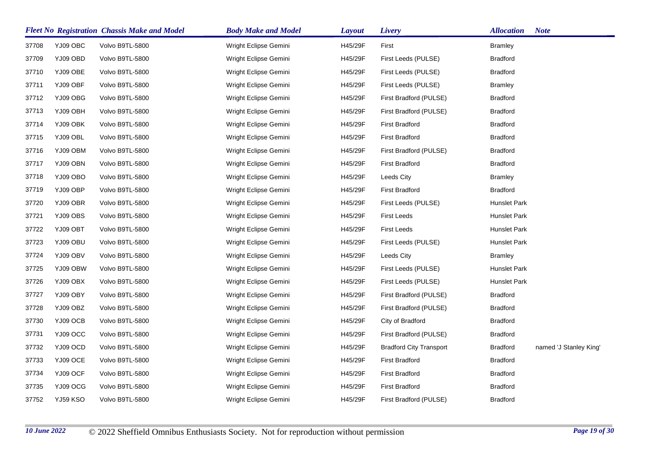|       |          | <b>Fleet No Registration Chassis Make and Model</b> | <b>Body Make and Model</b> | <b>Layout</b> | Livery                         | <b>Allocation</b> | <b>Note</b>            |
|-------|----------|-----------------------------------------------------|----------------------------|---------------|--------------------------------|-------------------|------------------------|
| 37708 | YJ09 OBC | Volvo B9TL-5800                                     | Wright Eclipse Gemini      | H45/29F       | First                          | <b>Bramley</b>    |                        |
| 37709 | YJ09 OBD | Volvo B9TL-5800                                     | Wright Eclipse Gemini      | H45/29F       | First Leeds (PULSE)            | <b>Bradford</b>   |                        |
| 37710 | YJ09 OBE | Volvo B9TL-5800                                     | Wright Eclipse Gemini      | H45/29F       | First Leeds (PULSE)            | <b>Bradford</b>   |                        |
| 37711 | YJ09 OBF | Volvo B9TL-5800                                     | Wright Eclipse Gemini      | H45/29F       | First Leeds (PULSE)            | <b>Bramley</b>    |                        |
| 37712 | YJ09 OBG | Volvo B9TL-5800                                     | Wright Eclipse Gemini      | H45/29F       | First Bradford (PULSE)         | <b>Bradford</b>   |                        |
| 37713 | YJ09 OBH | Volvo B9TL-5800                                     | Wright Eclipse Gemini      | H45/29F       | First Bradford (PULSE)         | <b>Bradford</b>   |                        |
| 37714 | YJ09 OBK | Volvo B9TL-5800                                     | Wright Eclipse Gemini      | H45/29F       | <b>First Bradford</b>          | <b>Bradford</b>   |                        |
| 37715 | YJ09 OBL | Volvo B9TL-5800                                     | Wright Eclipse Gemini      | H45/29F       | <b>First Bradford</b>          | <b>Bradford</b>   |                        |
| 37716 | YJ09 OBM | Volvo B9TL-5800                                     | Wright Eclipse Gemini      | H45/29F       | First Bradford (PULSE)         | <b>Bradford</b>   |                        |
| 37717 | YJ09 OBN | Volvo B9TL-5800                                     | Wright Eclipse Gemini      | H45/29F       | <b>First Bradford</b>          | <b>Bradford</b>   |                        |
| 37718 | YJ09 OBO | Volvo B9TL-5800                                     | Wright Eclipse Gemini      | H45/29F       | Leeds City                     | <b>Bramley</b>    |                        |
| 37719 | YJ09 OBP | Volvo B9TL-5800                                     | Wright Eclipse Gemini      | H45/29F       | <b>First Bradford</b>          | <b>Bradford</b>   |                        |
| 37720 | YJ09 OBR | Volvo B9TL-5800                                     | Wright Eclipse Gemini      | H45/29F       | First Leeds (PULSE)            | Hunslet Park      |                        |
| 37721 | YJ09 OBS | Volvo B9TL-5800                                     | Wright Eclipse Gemini      | H45/29F       | <b>First Leeds</b>             | Hunslet Park      |                        |
| 37722 | YJ09 OBT | Volvo B9TL-5800                                     | Wright Eclipse Gemini      | H45/29F       | <b>First Leeds</b>             | Hunslet Park      |                        |
| 37723 | YJ09 OBU | Volvo B9TL-5800                                     | Wright Eclipse Gemini      | H45/29F       | First Leeds (PULSE)            | Hunslet Park      |                        |
| 37724 | YJ09 OBV | Volvo B9TL-5800                                     | Wright Eclipse Gemini      | H45/29F       | Leeds City                     | <b>Bramley</b>    |                        |
| 37725 | YJ09 OBW | Volvo B9TL-5800                                     | Wright Eclipse Gemini      | H45/29F       | First Leeds (PULSE)            | Hunslet Park      |                        |
| 37726 | YJ09 OBX | Volvo B9TL-5800                                     | Wright Eclipse Gemini      | H45/29F       | First Leeds (PULSE)            | Hunslet Park      |                        |
| 37727 | YJ09 OBY | Volvo B9TL-5800                                     | Wright Eclipse Gemini      | H45/29F       | First Bradford (PULSE)         | <b>Bradford</b>   |                        |
| 37728 | YJ09 OBZ | Volvo B9TL-5800                                     | Wright Eclipse Gemini      | H45/29F       | First Bradford (PULSE)         | <b>Bradford</b>   |                        |
| 37730 | YJ09 OCB | Volvo B9TL-5800                                     | Wright Eclipse Gemini      | H45/29F       | City of Bradford               | <b>Bradford</b>   |                        |
| 37731 | YJ09 OCC | Volvo B9TL-5800                                     | Wright Eclipse Gemini      | H45/29F       | First Bradford (PULSE)         | <b>Bradford</b>   |                        |
| 37732 | YJ09 OCD | Volvo B9TL-5800                                     | Wright Eclipse Gemini      | H45/29F       | <b>Bradford City Transport</b> | <b>Bradford</b>   | named 'J Stanley King' |
| 37733 | YJ09 OCE | Volvo B9TL-5800                                     | Wright Eclipse Gemini      | H45/29F       | <b>First Bradford</b>          | <b>Bradford</b>   |                        |
| 37734 | YJ09 OCF | Volvo B9TL-5800                                     | Wright Eclipse Gemini      | H45/29F       | <b>First Bradford</b>          | <b>Bradford</b>   |                        |
| 37735 | YJ09 OCG | Volvo B9TL-5800                                     | Wright Eclipse Gemini      | H45/29F       | <b>First Bradford</b>          | <b>Bradford</b>   |                        |
| 37752 | YJ59 KSO | Volvo B9TL-5800                                     | Wright Eclipse Gemini      | H45/29F       | First Bradford (PULSE)         | <b>Bradford</b>   |                        |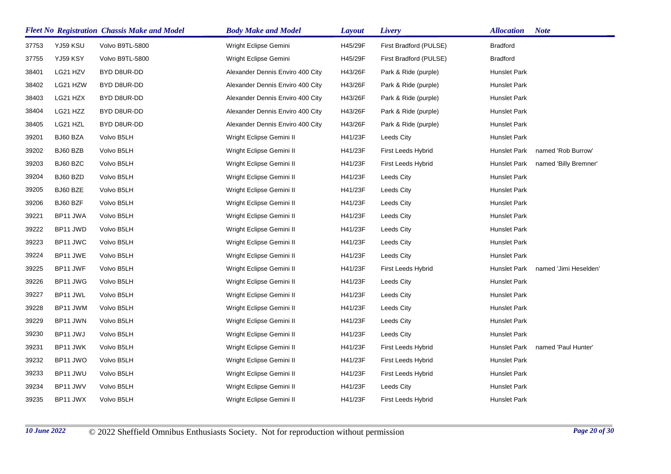|       |          | <b>Fleet No Registration Chassis Make and Model</b> | <b>Body Make and Model</b>       | Layout  | Livery                 | <b>Allocation</b> | <b>Note</b>           |
|-------|----------|-----------------------------------------------------|----------------------------------|---------|------------------------|-------------------|-----------------------|
| 37753 | YJ59 KSU | Volvo B9TL-5800                                     | Wright Eclipse Gemini            | H45/29F | First Bradford (PULSE) | <b>Bradford</b>   |                       |
| 37755 | YJ59 KSY | Volvo B9TL-5800                                     | Wright Eclipse Gemini            | H45/29F | First Bradford (PULSE) | <b>Bradford</b>   |                       |
| 38401 | LG21 HZV | BYD D8UR-DD                                         | Alexander Dennis Enviro 400 City | H43/26F | Park & Ride (purple)   | Hunslet Park      |                       |
| 38402 | LG21 HZW | BYD D8UR-DD                                         | Alexander Dennis Enviro 400 City | H43/26F | Park & Ride (purple)   | Hunslet Park      |                       |
| 38403 | LG21 HZX | BYD D8UR-DD                                         | Alexander Dennis Enviro 400 City | H43/26F | Park & Ride (purple)   | Hunslet Park      |                       |
| 38404 | LG21 HZZ | BYD D8UR-DD                                         | Alexander Dennis Enviro 400 City | H43/26F | Park & Ride (purple)   | Hunslet Park      |                       |
| 38405 | LG21 HZL | BYD D8UR-DD                                         | Alexander Dennis Enviro 400 City | H43/26F | Park & Ride (purple)   | Hunslet Park      |                       |
| 39201 | BJ60 BZA | Volvo B5LH                                          | Wright Eclipse Gemini II         | H41/23F | Leeds City             | Hunslet Park      |                       |
| 39202 | BJ60 BZB | Volvo B5LH                                          | Wright Eclipse Gemini II         | H41/23F | First Leeds Hybrid     | Hunslet Park      | named 'Rob Burrow'    |
| 39203 | BJ60 BZC | Volvo B5LH                                          | Wright Eclipse Gemini II         | H41/23F | First Leeds Hybrid     | Hunslet Park      | named 'Billy Bremner' |
| 39204 | BJ60 BZD | Volvo B5LH                                          | Wright Eclipse Gemini II         | H41/23F | Leeds City             | Hunslet Park      |                       |
| 39205 | BJ60 BZE | Volvo B5LH                                          | Wright Eclipse Gemini II         | H41/23F | Leeds City             | Hunslet Park      |                       |
| 39206 | BJ60 BZF | Volvo B5LH                                          | Wright Eclipse Gemini II         | H41/23F | Leeds City             | Hunslet Park      |                       |
| 39221 | BP11 JWA | Volvo B5LH                                          | Wright Eclipse Gemini II         | H41/23F | Leeds City             | Hunslet Park      |                       |
| 39222 | BP11 JWD | Volvo B5LH                                          | Wright Eclipse Gemini II         | H41/23F | Leeds City             | Hunslet Park      |                       |
| 39223 | BP11 JWC | Volvo B5LH                                          | Wright Eclipse Gemini II         | H41/23F | Leeds City             | Hunslet Park      |                       |
| 39224 | BP11 JWE | Volvo B5LH                                          | Wright Eclipse Gemini II         | H41/23F | Leeds City             | Hunslet Park      |                       |
| 39225 | BP11 JWF | Volvo B5LH                                          | Wright Eclipse Gemini II         | H41/23F | First Leeds Hybrid     | Hunslet Park      | named 'Jimi Heselden' |
| 39226 | BP11 JWG | Volvo B5LH                                          | Wright Eclipse Gemini II         | H41/23F | Leeds City             | Hunslet Park      |                       |
| 39227 | BP11 JWL | Volvo B5LH                                          | Wright Eclipse Gemini II         | H41/23F | Leeds City             | Hunslet Park      |                       |
| 39228 | BP11 JWM | Volvo B5LH                                          | Wright Eclipse Gemini II         | H41/23F | Leeds City             | Hunslet Park      |                       |
| 39229 | BP11 JWN | Volvo B5LH                                          | Wright Eclipse Gemini II         | H41/23F | Leeds City             | Hunslet Park      |                       |
| 39230 | BP11 JWJ | Volvo B5LH                                          | Wright Eclipse Gemini II         | H41/23F | Leeds City             | Hunslet Park      |                       |
| 39231 | BP11 JWK | Volvo B5LH                                          | Wright Eclipse Gemini II         | H41/23F | First Leeds Hybrid     | Hunslet Park      | named 'Paul Hunter'   |
| 39232 | BP11 JWO | Volvo B5LH                                          | Wright Eclipse Gemini II         | H41/23F | First Leeds Hybrid     | Hunslet Park      |                       |
| 39233 | BP11 JWU | Volvo B5LH                                          | Wright Eclipse Gemini II         | H41/23F | First Leeds Hybrid     | Hunslet Park      |                       |
| 39234 | BP11 JWV | Volvo B5LH                                          | Wright Eclipse Gemini II         | H41/23F | Leeds City             | Hunslet Park      |                       |
| 39235 | BP11 JWX | Volvo B5LH                                          | Wright Eclipse Gemini II         | H41/23F | First Leeds Hybrid     | Hunslet Park      |                       |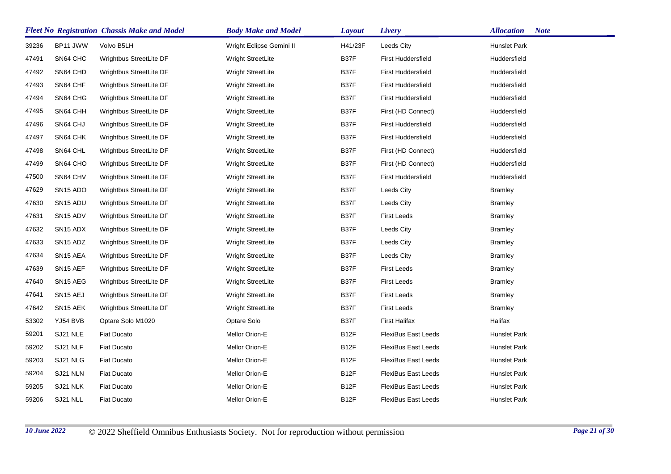|       |                      | <b>Fleet No Registration Chassis Make and Model</b> | <b>Body Make and Model</b> | <b>Layout</b>     | Livery                     | <b>Allocation</b><br><b>Note</b> |
|-------|----------------------|-----------------------------------------------------|----------------------------|-------------------|----------------------------|----------------------------------|
| 39236 | BP11 JWW             | Volvo B5LH                                          | Wright Eclipse Gemini II   | H41/23F           | Leeds City                 | Hunslet Park                     |
| 47491 | SN64 CHC             | Wrightbus StreetLite DF                             | <b>Wright StreetLite</b>   | B37F              | <b>First Huddersfield</b>  | Huddersfield                     |
| 47492 | SN64 CHD             | Wrightbus StreetLite DF                             | <b>Wright StreetLite</b>   | B37F              | First Huddersfield         | Huddersfield                     |
| 47493 | SN64 CHF             | Wrightbus StreetLite DF                             | Wright StreetLite          | B37F              | First Huddersfield         | Huddersfield                     |
| 47494 | SN64 CHG             | Wrightbus StreetLite DF                             | <b>Wright StreetLite</b>   | B37F              | First Huddersfield         | Huddersfield                     |
| 47495 | SN64 CHH             | Wrightbus StreetLite DF                             | Wright StreetLite          | B37F              | First (HD Connect)         | Huddersfield                     |
| 47496 | SN64 CHJ             | Wrightbus StreetLite DF                             | <b>Wright StreetLite</b>   | B37F              | First Huddersfield         | Huddersfield                     |
| 47497 | SN64 CHK             | Wrightbus StreetLite DF                             | Wright StreetLite          | B37F              | First Huddersfield         | Huddersfield                     |
| 47498 | SN64 CHL             | Wrightbus StreetLite DF                             | Wright StreetLite          | B37F              | First (HD Connect)         | Huddersfield                     |
| 47499 | SN64 CHO             | Wrightbus StreetLite DF                             | Wright StreetLite          | B37F              | First (HD Connect)         | Huddersfield                     |
| 47500 | SN64 CHV             | Wrightbus StreetLite DF                             | Wright StreetLite          | B37F              | First Huddersfield         | Huddersfield                     |
| 47629 | SN <sub>15</sub> ADO | Wrightbus StreetLite DF                             | Wright StreetLite          | B37F              | Leeds City                 | <b>Bramley</b>                   |
| 47630 | SN <sub>15</sub> ADU | Wrightbus StreetLite DF                             | Wright StreetLite          | B37F              | Leeds City                 | <b>Bramley</b>                   |
| 47631 | SN <sub>15</sub> ADV | Wrightbus StreetLite DF                             | Wright StreetLite          | B37F              | <b>First Leeds</b>         | <b>Bramley</b>                   |
| 47632 | SN <sub>15</sub> ADX | Wrightbus StreetLite DF                             | Wright StreetLite          | B37F              | Leeds City                 | <b>Bramley</b>                   |
| 47633 | SN <sub>15</sub> ADZ | Wrightbus StreetLite DF                             | Wright StreetLite          | B37F              | Leeds City                 | <b>Bramley</b>                   |
| 47634 | SN <sub>15</sub> AEA | Wrightbus StreetLite DF                             | Wright StreetLite          | B37F              | Leeds City                 | <b>Bramley</b>                   |
| 47639 | SN <sub>15</sub> AEF | Wrightbus StreetLite DF                             | Wright StreetLite          | B37F              | <b>First Leeds</b>         | <b>Bramley</b>                   |
| 47640 | SN <sub>15</sub> AEG | Wrightbus StreetLite DF                             | Wright StreetLite          | B37F              | First Leeds                | <b>Bramley</b>                   |
| 47641 | SN <sub>15</sub> AEJ | Wrightbus StreetLite DF                             | Wright StreetLite          | B37F              | <b>First Leeds</b>         | <b>Bramley</b>                   |
| 47642 | SN <sub>15</sub> AEK | Wrightbus StreetLite DF                             | Wright StreetLite          | B37F              | First Leeds                | <b>Bramley</b>                   |
| 53302 | YJ54 BVB             | Optare Solo M1020                                   | Optare Solo                | B37F              | <b>First Halifax</b>       | Halifax                          |
| 59201 | SJ21 NLE             | <b>Fiat Ducato</b>                                  | Mellor Orion-E             | B <sub>12</sub> F | <b>FlexiBus East Leeds</b> | Hunslet Park                     |
| 59202 | SJ21 NLF             | <b>Fiat Ducato</b>                                  | Mellor Orion-E             | B <sub>12</sub> F | FlexiBus East Leeds        | Hunslet Park                     |
| 59203 | SJ21 NLG             | <b>Fiat Ducato</b>                                  | Mellor Orion-E             | B <sub>12</sub> F | <b>FlexiBus East Leeds</b> | Hunslet Park                     |
| 59204 | SJ21 NLN             | <b>Fiat Ducato</b>                                  | Mellor Orion-E             | B12F              | <b>FlexiBus East Leeds</b> | Hunslet Park                     |
| 59205 | SJ21 NLK             | <b>Fiat Ducato</b>                                  | Mellor Orion-E             | B <sub>12</sub> F | <b>FlexiBus East Leeds</b> | Hunslet Park                     |
| 59206 | SJ21 NLL             | <b>Fiat Ducato</b>                                  | Mellor Orion-E             | B <sub>12</sub> F | <b>FlexiBus East Leeds</b> | Hunslet Park                     |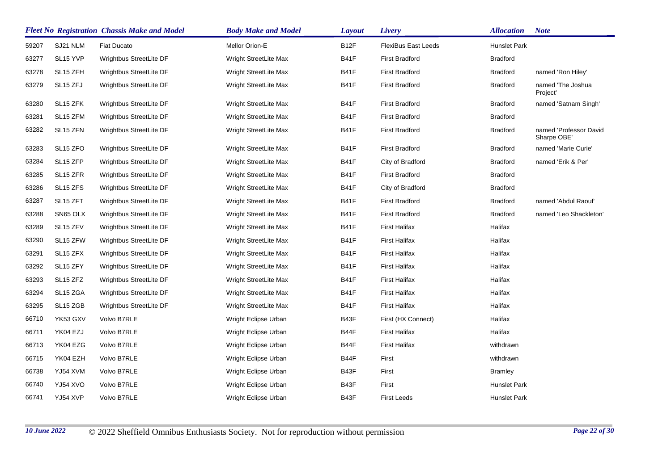|       |                      | <b>Fleet No Registration Chassis Make and Model</b> | <b>Body Make and Model</b> | Layout            | Livery                     | <b>Allocation</b>   | <b>Note</b>                           |
|-------|----------------------|-----------------------------------------------------|----------------------------|-------------------|----------------------------|---------------------|---------------------------------------|
| 59207 | SJ21 NLM             | <b>Fiat Ducato</b>                                  | Mellor Orion-E             | B <sub>12</sub> F | <b>FlexiBus East Leeds</b> | <b>Hunslet Park</b> |                                       |
| 63277 | SL <sub>15</sub> YVP | Wrightbus StreetLite DF                             | Wright StreetLite Max      | B41F              | <b>First Bradford</b>      | <b>Bradford</b>     |                                       |
| 63278 | SL15 ZFH             | Wrightbus StreetLite DF                             | Wright StreetLite Max      | <b>B41F</b>       | <b>First Bradford</b>      | <b>Bradford</b>     | named 'Ron Hiley'                     |
| 63279 | SL <sub>15</sub> ZFJ | Wrightbus StreetLite DF                             | Wright StreetLite Max      | B41F              | <b>First Bradford</b>      | <b>Bradford</b>     | named 'The Joshua<br>Project'         |
| 63280 | SL15 ZFK             | Wrightbus StreetLite DF                             | Wright StreetLite Max      | <b>B41F</b>       | <b>First Bradford</b>      | <b>Bradford</b>     | named 'Satnam Singh'                  |
| 63281 | SL15 ZFM             | Wrightbus StreetLite DF                             | Wright StreetLite Max      | <b>B41F</b>       | <b>First Bradford</b>      | <b>Bradford</b>     |                                       |
| 63282 | SL <sub>15</sub> ZFN | Wrightbus StreetLite DF                             | Wright StreetLite Max      | <b>B41F</b>       | <b>First Bradford</b>      | <b>Bradford</b>     | named 'Professor David<br>Sharpe OBE' |
| 63283 | SL <sub>15</sub> ZFO | Wrightbus StreetLite DF                             | Wright StreetLite Max      | <b>B41F</b>       | <b>First Bradford</b>      | <b>Bradford</b>     | named 'Marie Curie'                   |
| 63284 | SL15 ZFP             | Wrightbus StreetLite DF                             | Wright StreetLite Max      | B41F              | City of Bradford           | <b>Bradford</b>     | named 'Erik & Per'                    |
| 63285 | SL <sub>15</sub> ZFR | Wrightbus StreetLite DF                             | Wright StreetLite Max      | <b>B41F</b>       | <b>First Bradford</b>      | <b>Bradford</b>     |                                       |
| 63286 | SL <sub>15</sub> ZFS | Wrightbus StreetLite DF                             | Wright StreetLite Max      | <b>B41F</b>       | City of Bradford           | <b>Bradford</b>     |                                       |
| 63287 | SL15 ZFT             | Wrightbus StreetLite DF                             | Wright StreetLite Max      | <b>B41F</b>       | <b>First Bradford</b>      | <b>Bradford</b>     | named 'Abdul Raouf'                   |
| 63288 | SN65 OLX             | Wrightbus StreetLite DF                             | Wright StreetLite Max      | <b>B41F</b>       | <b>First Bradford</b>      | <b>Bradford</b>     | named 'Leo Shackleton'                |
| 63289 | SL15 ZFV             | Wrightbus StreetLite DF                             | Wright StreetLite Max      | <b>B41F</b>       | <b>First Halifax</b>       | Halifax             |                                       |
| 63290 | SL15 ZFW             | Wrightbus StreetLite DF                             | Wright StreetLite Max      | <b>B41F</b>       | <b>First Halifax</b>       | Halifax             |                                       |
| 63291 | SL <sub>15</sub> ZFX | Wrightbus StreetLite DF                             | Wright StreetLite Max      | B41F              | <b>First Halifax</b>       | Halifax             |                                       |
| 63292 | SL <sub>15</sub> ZFY | Wrightbus StreetLite DF                             | Wright StreetLite Max      | <b>B41F</b>       | <b>First Halifax</b>       | Halifax             |                                       |
| 63293 | SL <sub>15</sub> ZFZ | Wrightbus StreetLite DF                             | Wright StreetLite Max      | <b>B41F</b>       | <b>First Halifax</b>       | Halifax             |                                       |
| 63294 | SL15 ZGA             | Wrightbus StreetLite DF                             | Wright StreetLite Max      | <b>B41F</b>       | <b>First Halifax</b>       | Halifax             |                                       |
| 63295 | SL15 ZGB             | Wrightbus StreetLite DF                             | Wright StreetLite Max      | <b>B41F</b>       | <b>First Halifax</b>       | Halifax             |                                       |
| 66710 | YK53 GXV             | Volvo B7RLE                                         | Wright Eclipse Urban       | B43F              | First (HX Connect)         | Halifax             |                                       |
| 66711 | YK04 EZJ             | Volvo B7RLE                                         | Wright Eclipse Urban       | B44F              | <b>First Halifax</b>       | Halifax             |                                       |
| 66713 | YK04 EZG             | Volvo B7RLE                                         | Wright Eclipse Urban       | B44F              | <b>First Halifax</b>       | withdrawn           |                                       |
| 66715 | YK04 EZH             | Volvo B7RLE                                         | Wright Eclipse Urban       | B44F              | First                      | withdrawn           |                                       |
| 66738 | YJ54 XVM             | Volvo B7RLE                                         | Wright Eclipse Urban       | B43F              | First                      | Bramley             |                                       |
| 66740 | YJ54 XVO             | Volvo B7RLE                                         | Wright Eclipse Urban       | B43F              | First                      | Hunslet Park        |                                       |
| 66741 | YJ54 XVP             | Volvo B7RLE                                         | Wright Eclipse Urban       | B43F              | <b>First Leeds</b>         | <b>Hunslet Park</b> |                                       |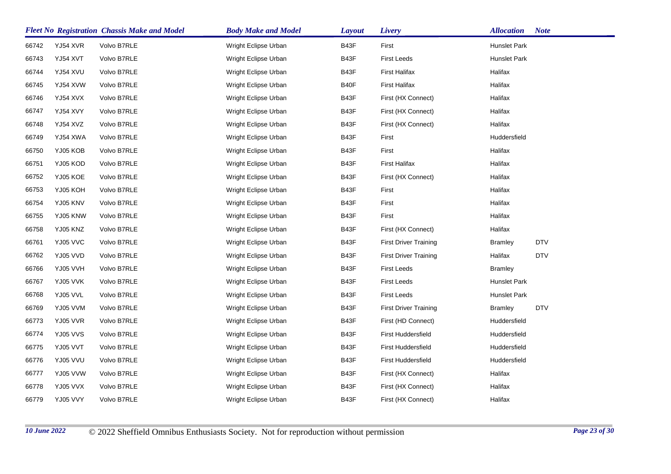|       |          | <b>Fleet No Registration Chassis Make and Model</b> | <b>Body Make and Model</b> | <b>Layout</b> | Livery                       | <b>Allocation</b> | <b>Note</b> |
|-------|----------|-----------------------------------------------------|----------------------------|---------------|------------------------------|-------------------|-------------|
| 66742 | YJ54 XVR | Volvo B7RLE                                         | Wright Eclipse Urban       | B43F          | First                        | Hunslet Park      |             |
| 66743 | YJ54 XVT | Volvo B7RLE                                         | Wright Eclipse Urban       | B43F          | <b>First Leeds</b>           | Hunslet Park      |             |
| 66744 | YJ54 XVU | Volvo B7RLE                                         | Wright Eclipse Urban       | B43F          | <b>First Halifax</b>         | Halifax           |             |
| 66745 | YJ54 XVW | Volvo B7RLE                                         | Wright Eclipse Urban       | B40F          | <b>First Halifax</b>         | Halifax           |             |
| 66746 | YJ54 XVX | Volvo B7RLE                                         | Wright Eclipse Urban       | B43F          | First (HX Connect)           | Halifax           |             |
| 66747 | YJ54 XVY | Volvo B7RLE                                         | Wright Eclipse Urban       | B43F          | First (HX Connect)           | Halifax           |             |
| 66748 | YJ54 XVZ | Volvo B7RLE                                         | Wright Eclipse Urban       | B43F          | First (HX Connect)           | Halifax           |             |
| 66749 | YJ54 XWA | Volvo B7RLE                                         | Wright Eclipse Urban       | B43F          | First                        | Huddersfield      |             |
| 66750 | YJ05 KOB | Volvo B7RLE                                         | Wright Eclipse Urban       | B43F          | First                        | Halifax           |             |
| 66751 | YJ05 KOD | Volvo B7RLE                                         | Wright Eclipse Urban       | B43F          | <b>First Halifax</b>         | Halifax           |             |
| 66752 | YJ05 KOE | Volvo B7RLE                                         | Wright Eclipse Urban       | B43F          | First (HX Connect)           | Halifax           |             |
| 66753 | YJ05 KOH | Volvo B7RLE                                         | Wright Eclipse Urban       | B43F          | First                        | Halifax           |             |
| 66754 | YJ05 KNV | Volvo B7RLE                                         | Wright Eclipse Urban       | B43F          | First                        | Halifax           |             |
| 66755 | YJ05 KNW | Volvo B7RLE                                         | Wright Eclipse Urban       | B43F          | First                        | Halifax           |             |
| 66758 | YJ05 KNZ | Volvo B7RLE                                         | Wright Eclipse Urban       | B43F          | First (HX Connect)           | Halifax           |             |
| 66761 | YJ05 VVC | Volvo B7RLE                                         | Wright Eclipse Urban       | B43F          | <b>First Driver Training</b> | <b>Bramley</b>    | <b>DTV</b>  |
| 66762 | YJ05 VVD | Volvo B7RLE                                         | Wright Eclipse Urban       | B43F          | <b>First Driver Training</b> | Halifax           | <b>DTV</b>  |
| 66766 | YJ05 VVH | Volvo B7RLE                                         | Wright Eclipse Urban       | B43F          | <b>First Leeds</b>           | <b>Bramley</b>    |             |
| 66767 | YJ05 VVK | Volvo B7RLE                                         | Wright Eclipse Urban       | B43F          | First Leeds                  | Hunslet Park      |             |
| 66768 | YJ05 VVL | Volvo B7RLE                                         | Wright Eclipse Urban       | B43F          | <b>First Leeds</b>           | Hunslet Park      |             |
| 66769 | YJ05 VVM | Volvo B7RLE                                         | Wright Eclipse Urban       | B43F          | <b>First Driver Training</b> | <b>Bramley</b>    | <b>DTV</b>  |
| 66773 | YJ05 VVR | Volvo B7RLE                                         | Wright Eclipse Urban       | B43F          | First (HD Connect)           | Huddersfield      |             |
| 66774 | YJ05 VVS | Volvo B7RLE                                         | Wright Eclipse Urban       | B43F          | <b>First Huddersfield</b>    | Huddersfield      |             |
| 66775 | YJ05 VVT | Volvo B7RLE                                         | Wright Eclipse Urban       | B43F          | <b>First Huddersfield</b>    | Huddersfield      |             |
| 66776 | YJ05 VVU | Volvo B7RLE                                         | Wright Eclipse Urban       | B43F          | First Huddersfield           | Huddersfield      |             |
| 66777 | YJ05 VVW | Volvo B7RLE                                         | Wright Eclipse Urban       | B43F          | First (HX Connect)           | Halifax           |             |
| 66778 | YJ05 VVX | Volvo B7RLE                                         | Wright Eclipse Urban       | B43F          | First (HX Connect)           | Halifax           |             |
| 66779 | YJ05 VVY | Volvo B7RLE                                         | Wright Eclipse Urban       | B43F          | First (HX Connect)           | Halifax           |             |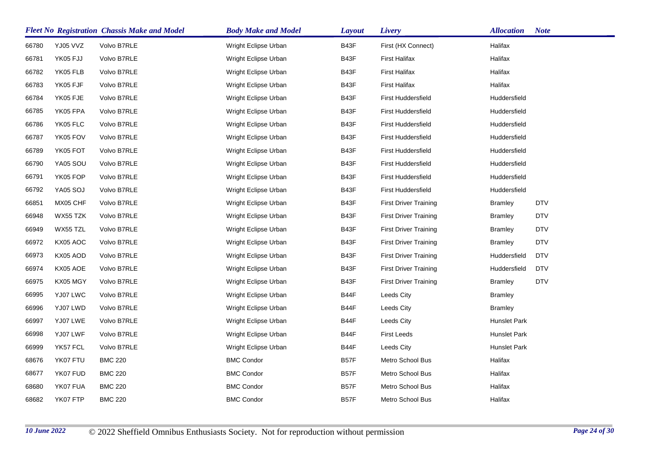|       |          | <b>Fleet No Registration Chassis Make and Model</b> | <b>Body Make and Model</b> | <b>Layout</b> | Livery                       | <b>Allocation</b> | <b>Note</b> |
|-------|----------|-----------------------------------------------------|----------------------------|---------------|------------------------------|-------------------|-------------|
| 66780 | YJ05 VVZ | Volvo B7RLE                                         | Wright Eclipse Urban       | B43F          | First (HX Connect)           | Halifax           |             |
| 66781 | YK05 FJJ | Volvo B7RLE                                         | Wright Eclipse Urban       | B43F          | <b>First Halifax</b>         | Halifax           |             |
| 66782 | YK05 FLB | Volvo B7RLE                                         | Wright Eclipse Urban       | B43F          | <b>First Halifax</b>         | Halifax           |             |
| 66783 | YK05 FJF | Volvo B7RLE                                         | Wright Eclipse Urban       | B43F          | <b>First Halifax</b>         | Halifax           |             |
| 66784 | YK05 FJE | Volvo B7RLE                                         | Wright Eclipse Urban       | B43F          | <b>First Huddersfield</b>    | Huddersfield      |             |
| 66785 | YK05 FPA | Volvo B7RLE                                         | Wright Eclipse Urban       | B43F          | <b>First Huddersfield</b>    | Huddersfield      |             |
| 66786 | YK05 FLC | Volvo B7RLE                                         | Wright Eclipse Urban       | B43F          | <b>First Huddersfield</b>    | Huddersfield      |             |
| 66787 | YK05 FOV | Volvo B7RLE                                         | Wright Eclipse Urban       | B43F          | <b>First Huddersfield</b>    | Huddersfield      |             |
| 66789 | YK05 FOT | Volvo B7RLE                                         | Wright Eclipse Urban       | B43F          | <b>First Huddersfield</b>    | Huddersfield      |             |
| 66790 | YA05 SOU | Volvo B7RLE                                         | Wright Eclipse Urban       | B43F          | First Huddersfield           | Huddersfield      |             |
| 66791 | YK05 FOP | Volvo B7RLE                                         | Wright Eclipse Urban       | B43F          | First Huddersfield           | Huddersfield      |             |
| 66792 | YA05 SOJ | Volvo B7RLE                                         | Wright Eclipse Urban       | B43F          | First Huddersfield           | Huddersfield      |             |
| 66851 | MX05 CHF | Volvo B7RLE                                         | Wright Eclipse Urban       | B43F          | <b>First Driver Training</b> | <b>Bramley</b>    | <b>DTV</b>  |
| 66948 | WX55 TZK | Volvo B7RLE                                         | Wright Eclipse Urban       | B43F          | <b>First Driver Training</b> | <b>Bramley</b>    | <b>DTV</b>  |
| 66949 | WX55 TZL | Volvo B7RLE                                         | Wright Eclipse Urban       | B43F          | <b>First Driver Training</b> | <b>Bramley</b>    | <b>DTV</b>  |
| 66972 | KX05 AOC | Volvo B7RLE                                         | Wright Eclipse Urban       | B43F          | <b>First Driver Training</b> | <b>Bramley</b>    | <b>DTV</b>  |
| 66973 | KX05 AOD | Volvo B7RLE                                         | Wright Eclipse Urban       | B43F          | <b>First Driver Training</b> | Huddersfield      | <b>DTV</b>  |
| 66974 | KX05 AOE | Volvo B7RLE                                         | Wright Eclipse Urban       | B43F          | <b>First Driver Training</b> | Huddersfield      | <b>DTV</b>  |
| 66975 | KX05 MGY | Volvo B7RLE                                         | Wright Eclipse Urban       | B43F          | <b>First Driver Training</b> | <b>Bramley</b>    | <b>DTV</b>  |
| 66995 | YJ07 LWC | Volvo B7RLE                                         | Wright Eclipse Urban       | B44F          | Leeds City                   | <b>Bramley</b>    |             |
| 66996 | YJ07 LWD | Volvo B7RLE                                         | Wright Eclipse Urban       | B44F          | Leeds City                   | <b>Bramley</b>    |             |
| 66997 | YJ07 LWE | Volvo B7RLE                                         | Wright Eclipse Urban       | B44F          | Leeds City                   | Hunslet Park      |             |
| 66998 | YJ07 LWF | Volvo B7RLE                                         | Wright Eclipse Urban       | B44F          | <b>First Leeds</b>           | Hunslet Park      |             |
| 66999 | YK57 FCL | Volvo B7RLE                                         | Wright Eclipse Urban       | B44F          | Leeds City                   | Hunslet Park      |             |
| 68676 | YK07 FTU | <b>BMC 220</b>                                      | <b>BMC Condor</b>          | B57F          | Metro School Bus             | Halifax           |             |
| 68677 | YK07 FUD | <b>BMC 220</b>                                      | <b>BMC Condor</b>          | B57F          | Metro School Bus             | Halifax           |             |
| 68680 | YK07 FUA | <b>BMC 220</b>                                      | <b>BMC Condor</b>          | B57F          | Metro School Bus             | Halifax           |             |
| 68682 | YK07 FTP | <b>BMC 220</b>                                      | <b>BMC Condor</b>          | <b>B57F</b>   | Metro School Bus             | Halifax           |             |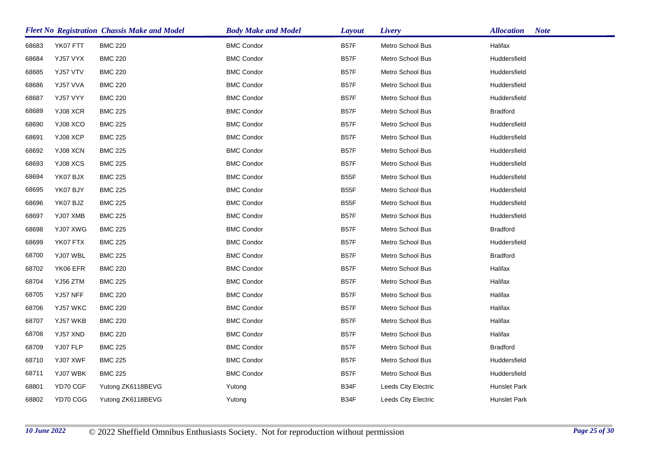|       |          | <b>Fleet No Registration Chassis Make and Model</b> | <b>Body Make and Model</b> | <b>Layout</b> | Livery              | <b>Allocation</b><br><b>Note</b> |
|-------|----------|-----------------------------------------------------|----------------------------|---------------|---------------------|----------------------------------|
| 68683 | YK07 FTT | <b>BMC 220</b>                                      | <b>BMC Condor</b>          | <b>B57F</b>   | Metro School Bus    | Halifax                          |
| 68684 | YJ57 VYX | <b>BMC 220</b>                                      | <b>BMC Condor</b>          | <b>B57F</b>   | Metro School Bus    | Huddersfield                     |
| 68685 | YJ57 VTV | <b>BMC 220</b>                                      | <b>BMC Condor</b>          | B57F          | Metro School Bus    | Huddersfield                     |
| 68686 | YJ57 VVA | <b>BMC 220</b>                                      | <b>BMC Condor</b>          | <b>B57F</b>   | Metro School Bus    | Huddersfield                     |
| 68687 | YJ57 VYY | <b>BMC 220</b>                                      | <b>BMC Condor</b>          | B57F          | Metro School Bus    | Huddersfield                     |
| 68689 | YJ08 XCR | <b>BMC 225</b>                                      | <b>BMC Condor</b>          | <b>B57F</b>   | Metro School Bus    | <b>Bradford</b>                  |
| 68690 | YJ08 XCO | <b>BMC 225</b>                                      | <b>BMC Condor</b>          | B57F          | Metro School Bus    | Huddersfield                     |
| 68691 | YJ08 XCP | <b>BMC 225</b>                                      | <b>BMC Condor</b>          | B57F          | Metro School Bus    | Huddersfield                     |
| 68692 | YJ08 XCN | <b>BMC 225</b>                                      | <b>BMC Condor</b>          | B57F          | Metro School Bus    | Huddersfield                     |
| 68693 | YJ08 XCS | <b>BMC 225</b>                                      | <b>BMC Condor</b>          | B57F          | Metro School Bus    | Huddersfield                     |
| 68694 | YK07 BJX | <b>BMC 225</b>                                      | <b>BMC Condor</b>          | <b>B55F</b>   | Metro School Bus    | Huddersfield                     |
| 68695 | YK07 BJY | <b>BMC 225</b>                                      | <b>BMC Condor</b>          | B55F          | Metro School Bus    | Huddersfield                     |
| 68696 | YK07 BJZ | <b>BMC 225</b>                                      | <b>BMC Condor</b>          | <b>B55F</b>   | Metro School Bus    | Huddersfield                     |
| 68697 | YJ07 XMB | <b>BMC 225</b>                                      | <b>BMC Condor</b>          | B57F          | Metro School Bus    | Huddersfield                     |
| 68698 | YJ07 XWG | <b>BMC 225</b>                                      | <b>BMC Condor</b>          | B57F          | Metro School Bus    | <b>Bradford</b>                  |
| 68699 | YK07 FTX | <b>BMC 225</b>                                      | <b>BMC Condor</b>          | <b>B57F</b>   | Metro School Bus    | Huddersfield                     |
| 68700 | YJ07 WBL | <b>BMC 225</b>                                      | <b>BMC Condor</b>          | B57F          | Metro School Bus    | <b>Bradford</b>                  |
| 68702 | YK06 EFR | <b>BMC 220</b>                                      | <b>BMC Condor</b>          | B57F          | Metro School Bus    | Halifax                          |
| 68704 | YJ56 ZTM | <b>BMC 225</b>                                      | <b>BMC Condor</b>          | B57F          | Metro School Bus    | Halifax                          |
| 68705 | YJ57 NFF | <b>BMC 220</b>                                      | <b>BMC Condor</b>          | <b>B57F</b>   | Metro School Bus    | Halifax                          |
| 68706 | YJ57 WKC | <b>BMC 220</b>                                      | <b>BMC Condor</b>          | <b>B57F</b>   | Metro School Bus    | Halifax                          |
| 68707 | YJ57 WKB | <b>BMC 220</b>                                      | <b>BMC Condor</b>          | <b>B57F</b>   | Metro School Bus    | Halifax                          |
| 68708 | YJ57 XND | <b>BMC 220</b>                                      | <b>BMC Condor</b>          | B57F          | Metro School Bus    | Halifax                          |
| 68709 | YJ07 FLP | <b>BMC 225</b>                                      | <b>BMC Condor</b>          | <b>B57F</b>   | Metro School Bus    | <b>Bradford</b>                  |
| 68710 | YJ07 XWF | <b>BMC 225</b>                                      | <b>BMC Condor</b>          | B57F          | Metro School Bus    | Huddersfield                     |
| 68711 | YJ07 WBK | <b>BMC 225</b>                                      | <b>BMC Condor</b>          | B57F          | Metro School Bus    | Huddersfield                     |
| 68801 | YD70 CGF | Yutong ZK6118BEVG                                   | Yutong                     | B34F          | Leeds City Electric | <b>Hunslet Park</b>              |
| 68802 | YD70 CGG | Yutong ZK6118BEVG                                   | Yutong                     | B34F          | Leeds City Electric | Hunslet Park                     |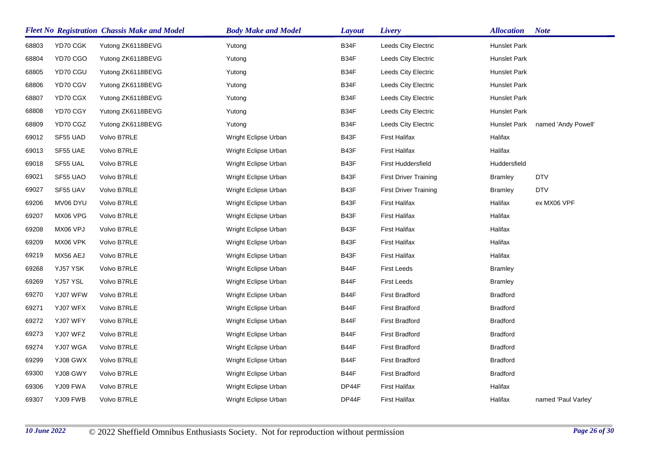|       |          | <b>Fleet No Registration Chassis Make and Model</b> | <b>Body Make and Model</b> | <b>Layout</b> | Livery                       | <b>Allocation</b>   | <b>Note</b>         |
|-------|----------|-----------------------------------------------------|----------------------------|---------------|------------------------------|---------------------|---------------------|
| 68803 | YD70 CGK | Yutong ZK6118BEVG                                   | Yutong                     | B34F          | Leeds City Electric          | Hunslet Park        |                     |
| 68804 | YD70 CGO | Yutong ZK6118BEVG                                   | Yutong                     | B34F          | Leeds City Electric          | Hunslet Park        |                     |
| 68805 | YD70 CGU | Yutong ZK6118BEVG                                   | Yutong                     | B34F          | Leeds City Electric          | Hunslet Park        |                     |
| 68806 | YD70 CGV | Yutong ZK6118BEVG                                   | Yutong                     | B34F          | Leeds City Electric          | <b>Hunslet Park</b> |                     |
| 68807 | YD70 CGX | Yutong ZK6118BEVG                                   | Yutong                     | B34F          | Leeds City Electric          | Hunslet Park        |                     |
| 68808 | YD70 CGY | Yutong ZK6118BEVG                                   | Yutong                     | B34F          | Leeds City Electric          | Hunslet Park        |                     |
| 68809 | YD70 CGZ | Yutong ZK6118BEVG                                   | Yutong                     | B34F          | Leeds City Electric          | Hunslet Park        | named 'Andy Powell' |
| 69012 | SF55 UAD | Volvo B7RLE                                         | Wright Eclipse Urban       | B43F          | <b>First Halifax</b>         | Halifax             |                     |
| 69013 | SF55 UAE | Volvo B7RLE                                         | Wright Eclipse Urban       | B43F          | <b>First Halifax</b>         | Halifax             |                     |
| 69018 | SF55 UAL | Volvo B7RLE                                         | Wright Eclipse Urban       | B43F          | <b>First Huddersfield</b>    | Huddersfield        |                     |
| 69021 | SF55 UAO | Volvo B7RLE                                         | Wright Eclipse Urban       | B43F          | <b>First Driver Training</b> | <b>Bramley</b>      | <b>DTV</b>          |
| 69027 | SF55 UAV | Volvo B7RLE                                         | Wright Eclipse Urban       | B43F          | <b>First Driver Training</b> | <b>Bramley</b>      | <b>DTV</b>          |
| 69206 | MV06 DYU | Volvo B7RLE                                         | Wright Eclipse Urban       | B43F          | <b>First Halifax</b>         | Halifax             | ex MX06 VPF         |
| 69207 | MX06 VPG | Volvo B7RLE                                         | Wright Eclipse Urban       | B43F          | <b>First Halifax</b>         | Halifax             |                     |
| 69208 | MX06 VPJ | Volvo B7RLE                                         | Wright Eclipse Urban       | B43F          | <b>First Halifax</b>         | Halifax             |                     |
| 69209 | MX06 VPK | Volvo B7RLE                                         | Wright Eclipse Urban       | B43F          | <b>First Halifax</b>         | Halifax             |                     |
| 69219 | MX56 AEJ | Volvo B7RLE                                         | Wright Eclipse Urban       | B43F          | <b>First Halifax</b>         | Halifax             |                     |
| 69268 | YJ57 YSK | Volvo B7RLE                                         | Wright Eclipse Urban       | B44F          | <b>First Leeds</b>           | <b>Bramley</b>      |                     |
| 69269 | YJ57 YSL | Volvo B7RLE                                         | Wright Eclipse Urban       | B44F          | <b>First Leeds</b>           | <b>Bramley</b>      |                     |
| 69270 | YJ07 WFW | Volvo B7RLE                                         | Wright Eclipse Urban       | B44F          | <b>First Bradford</b>        | <b>Bradford</b>     |                     |
| 69271 | YJ07 WFX | Volvo B7RLE                                         | Wright Eclipse Urban       | B44F          | <b>First Bradford</b>        | <b>Bradford</b>     |                     |
| 69272 | YJ07 WFY | Volvo B7RLE                                         | Wright Eclipse Urban       | B44F          | <b>First Bradford</b>        | <b>Bradford</b>     |                     |
| 69273 | YJ07 WFZ | Volvo B7RLE                                         | Wright Eclipse Urban       | B44F          | <b>First Bradford</b>        | <b>Bradford</b>     |                     |
| 69274 | YJ07 WGA | Volvo B7RLE                                         | Wright Eclipse Urban       | B44F          | <b>First Bradford</b>        | <b>Bradford</b>     |                     |
| 69299 | YJ08 GWX | Volvo B7RLE                                         | Wright Eclipse Urban       | B44F          | <b>First Bradford</b>        | <b>Bradford</b>     |                     |
| 69300 | YJ08 GWY | Volvo B7RLE                                         | Wright Eclipse Urban       | B44F          | <b>First Bradford</b>        | <b>Bradford</b>     |                     |
| 69306 | YJ09 FWA | Volvo B7RLE                                         | Wright Eclipse Urban       | DP44F         | <b>First Halifax</b>         | Halifax             |                     |
| 69307 | YJ09 FWB | Volvo B7RLE                                         | Wright Eclipse Urban       | DP44F         | <b>First Halifax</b>         | Halifax             | named 'Paul Varley' |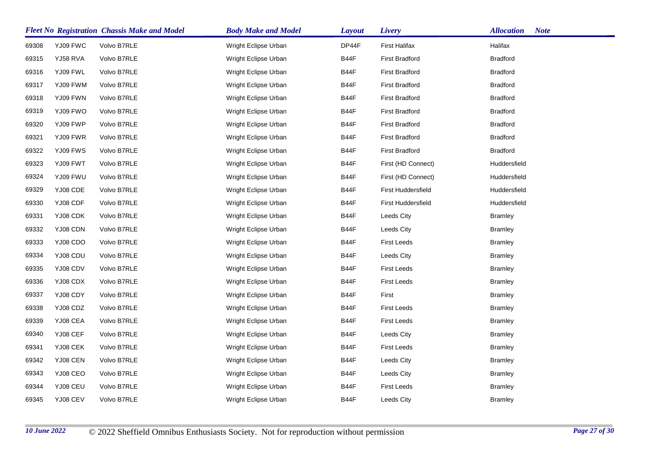|       |          | <b>Fleet No Registration Chassis Make and Model</b> | <b>Body Make and Model</b> | <b>Layout</b> | Livery                    | <b>Allocation</b><br><b>Note</b> |
|-------|----------|-----------------------------------------------------|----------------------------|---------------|---------------------------|----------------------------------|
| 69308 | YJ09 FWC | Volvo B7RLE                                         | Wright Eclipse Urban       | DP44F         | <b>First Halifax</b>      | Halifax                          |
| 69315 | YJ58 RVA | Volvo B7RLE                                         | Wright Eclipse Urban       | B44F          | <b>First Bradford</b>     | <b>Bradford</b>                  |
| 69316 | YJ09 FWL | Volvo B7RLE                                         | Wright Eclipse Urban       | B44F          | <b>First Bradford</b>     | Bradford                         |
| 69317 | YJ09 FWM | Volvo B7RLE                                         | Wright Eclipse Urban       | B44F          | <b>First Bradford</b>     | <b>Bradford</b>                  |
| 69318 | YJ09 FWN | Volvo B7RLE                                         | Wright Eclipse Urban       | B44F          | <b>First Bradford</b>     | <b>Bradford</b>                  |
| 69319 | YJ09 FWO | Volvo B7RLE                                         | Wright Eclipse Urban       | B44F          | <b>First Bradford</b>     | <b>Bradford</b>                  |
| 69320 | YJ09 FWP | Volvo B7RLE                                         | Wright Eclipse Urban       | B44F          | <b>First Bradford</b>     | <b>Bradford</b>                  |
| 69321 | YJ09 FWR | Volvo B7RLE                                         | Wright Eclipse Urban       | B44F          | <b>First Bradford</b>     | <b>Bradford</b>                  |
| 69322 | YJ09 FWS | Volvo B7RLE                                         | Wright Eclipse Urban       | B44F          | <b>First Bradford</b>     | <b>Bradford</b>                  |
| 69323 | YJ09 FWT | Volvo B7RLE                                         | Wright Eclipse Urban       | B44F          | First (HD Connect)        | Huddersfield                     |
| 69324 | YJ09 FWU | Volvo B7RLE                                         | Wright Eclipse Urban       | B44F          | First (HD Connect)        | Huddersfield                     |
| 69329 | YJ08 CDE | Volvo B7RLE                                         | Wright Eclipse Urban       | B44F          | First Huddersfield        | Huddersfield                     |
| 69330 | YJ08 CDF | Volvo B7RLE                                         | Wright Eclipse Urban       | B44F          | <b>First Huddersfield</b> | Huddersfield                     |
| 69331 | YJ08 CDK | Volvo B7RLE                                         | Wright Eclipse Urban       | B44F          | Leeds City                | <b>Bramley</b>                   |
| 69332 | YJ08 CDN | Volvo B7RLE                                         | Wright Eclipse Urban       | B44F          | Leeds City                | <b>Bramley</b>                   |
| 69333 | YJ08 CDO | Volvo B7RLE                                         | Wright Eclipse Urban       | B44F          | <b>First Leeds</b>        | <b>Bramley</b>                   |
| 69334 | YJ08 CDU | Volvo B7RLE                                         | Wright Eclipse Urban       | B44F          | Leeds City                | <b>Bramley</b>                   |
| 69335 | YJ08 CDV | Volvo B7RLE                                         | Wright Eclipse Urban       | B44F          | <b>First Leeds</b>        | <b>Bramley</b>                   |
| 69336 | YJ08 CDX | Volvo B7RLE                                         | Wright Eclipse Urban       | B44F          | <b>First Leeds</b>        | <b>Bramley</b>                   |
| 69337 | YJ08 CDY | Volvo B7RLE                                         | Wright Eclipse Urban       | B44F          | First                     | <b>Bramley</b>                   |
| 69338 | YJ08 CDZ | Volvo B7RLE                                         | Wright Eclipse Urban       | B44F          | <b>First Leeds</b>        | <b>Bramley</b>                   |
| 69339 | YJ08 CEA | Volvo B7RLE                                         | Wright Eclipse Urban       | B44F          | <b>First Leeds</b>        | <b>Bramley</b>                   |
| 69340 | YJ08 CEF | Volvo B7RLE                                         | Wright Eclipse Urban       | <b>B44F</b>   | Leeds City                | <b>Bramley</b>                   |
| 69341 | YJ08 CEK | Volvo B7RLE                                         | Wright Eclipse Urban       | B44F          | <b>First Leeds</b>        | <b>Bramley</b>                   |
| 69342 | YJ08 CEN | Volvo B7RLE                                         | Wright Eclipse Urban       | B44F          | Leeds City                | <b>Bramley</b>                   |
| 69343 | YJ08 CEO | Volvo B7RLE                                         | Wright Eclipse Urban       | B44F          | Leeds City                | <b>Bramley</b>                   |
| 69344 | YJ08 CEU | Volvo B7RLE                                         | Wright Eclipse Urban       | B44F          | <b>First Leeds</b>        | <b>Bramley</b>                   |
| 69345 | YJ08 CEV | Volvo B7RLE                                         | Wright Eclipse Urban       | B44F          | Leeds City                | <b>Bramley</b>                   |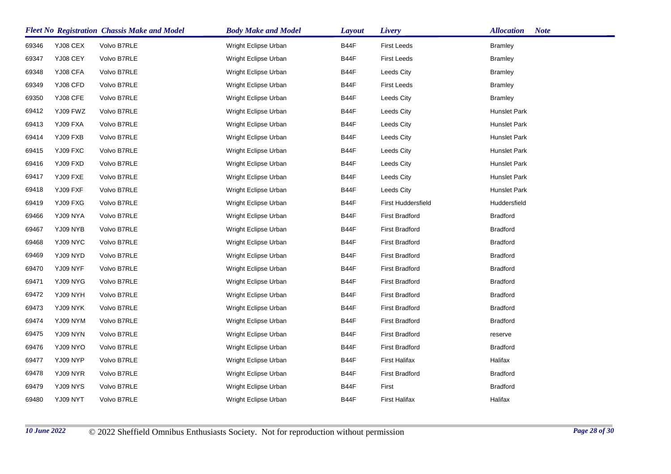|       |          | <b>Fleet No Registration Chassis Make and Model</b> | <b>Body Make and Model</b> | <b>Layout</b> | Livery                | <b>Allocation</b><br><b>Note</b> |
|-------|----------|-----------------------------------------------------|----------------------------|---------------|-----------------------|----------------------------------|
| 69346 | YJ08 CEX | Volvo B7RLE                                         | Wright Eclipse Urban       | B44F          | <b>First Leeds</b>    | <b>Bramley</b>                   |
| 69347 | YJ08 CEY | Volvo B7RLE                                         | Wright Eclipse Urban       | B44F          | <b>First Leeds</b>    | <b>Bramley</b>                   |
| 69348 | YJ08 CFA | Volvo B7RLE                                         | Wright Eclipse Urban       | B44F          | Leeds City            | <b>Bramley</b>                   |
| 69349 | YJ08 CFD | Volvo B7RLE                                         | Wright Eclipse Urban       | B44F          | <b>First Leeds</b>    | <b>Bramley</b>                   |
| 69350 | YJ08 CFE | Volvo B7RLE                                         | Wright Eclipse Urban       | <b>B44F</b>   | Leeds City            | <b>Bramley</b>                   |
| 69412 | YJ09 FWZ | Volvo B7RLE                                         | Wright Eclipse Urban       | B44F          | Leeds City            | Hunslet Park                     |
| 69413 | YJ09 FXA | Volvo B7RLE                                         | Wright Eclipse Urban       | B44F          | Leeds City            | Hunslet Park                     |
| 69414 | YJ09 FXB | Volvo B7RLE                                         | Wright Eclipse Urban       | B44F          | Leeds City            | Hunslet Park                     |
| 69415 | YJ09 FXC | Volvo B7RLE                                         | Wright Eclipse Urban       | B44F          | Leeds City            | Hunslet Park                     |
| 69416 | YJ09 FXD | Volvo B7RLE                                         | Wright Eclipse Urban       | B44F          | Leeds City            | Hunslet Park                     |
| 69417 | YJ09 FXE | Volvo B7RLE                                         | Wright Eclipse Urban       | B44F          | Leeds City            | Hunslet Park                     |
| 69418 | YJ09 FXF | Volvo B7RLE                                         | Wright Eclipse Urban       | B44F          | Leeds City            | Hunslet Park                     |
| 69419 | YJ09 FXG | Volvo B7RLE                                         | Wright Eclipse Urban       | B44F          | First Huddersfield    | Huddersfield                     |
| 69466 | YJ09 NYA | Volvo B7RLE                                         | Wright Eclipse Urban       | B44F          | <b>First Bradford</b> | <b>Bradford</b>                  |
| 69467 | YJ09 NYB | Volvo B7RLE                                         | Wright Eclipse Urban       | B44F          | <b>First Bradford</b> | <b>Bradford</b>                  |
| 69468 | YJ09 NYC | Volvo B7RLE                                         | Wright Eclipse Urban       | B44F          | <b>First Bradford</b> | <b>Bradford</b>                  |
| 69469 | YJ09 NYD | Volvo B7RLE                                         | Wright Eclipse Urban       | B44F          | <b>First Bradford</b> | <b>Bradford</b>                  |
| 69470 | YJ09 NYF | Volvo B7RLE                                         | Wright Eclipse Urban       | B44F          | <b>First Bradford</b> | <b>Bradford</b>                  |
| 69471 | YJ09 NYG | Volvo B7RLE                                         | Wright Eclipse Urban       | B44F          | <b>First Bradford</b> | <b>Bradford</b>                  |
| 69472 | YJ09 NYH | Volvo B7RLE                                         | Wright Eclipse Urban       | B44F          | <b>First Bradford</b> | <b>Bradford</b>                  |
| 69473 | YJ09 NYK | Volvo B7RLE                                         | Wright Eclipse Urban       | B44F          | <b>First Bradford</b> | <b>Bradford</b>                  |
| 69474 | YJ09 NYM | Volvo B7RLE                                         | Wright Eclipse Urban       | B44F          | <b>First Bradford</b> | <b>Bradford</b>                  |
| 69475 | YJ09 NYN | Volvo B7RLE                                         | Wright Eclipse Urban       | B44F          | <b>First Bradford</b> | reserve                          |
| 69476 | YJ09 NYO | Volvo B7RLE                                         | Wright Eclipse Urban       | B44F          | <b>First Bradford</b> | <b>Bradford</b>                  |
| 69477 | YJ09 NYP | Volvo B7RLE                                         | Wright Eclipse Urban       | <b>B44F</b>   | <b>First Halifax</b>  | Halifax                          |
| 69478 | YJ09 NYR | Volvo B7RLE                                         | Wright Eclipse Urban       | B44F          | <b>First Bradford</b> | <b>Bradford</b>                  |
| 69479 | YJ09 NYS | Volvo B7RLE                                         | Wright Eclipse Urban       | B44F          | First                 | <b>Bradford</b>                  |
| 69480 | YJ09 NYT | Volvo B7RLE                                         | Wright Eclipse Urban       | B44F          | <b>First Halifax</b>  | Halifax                          |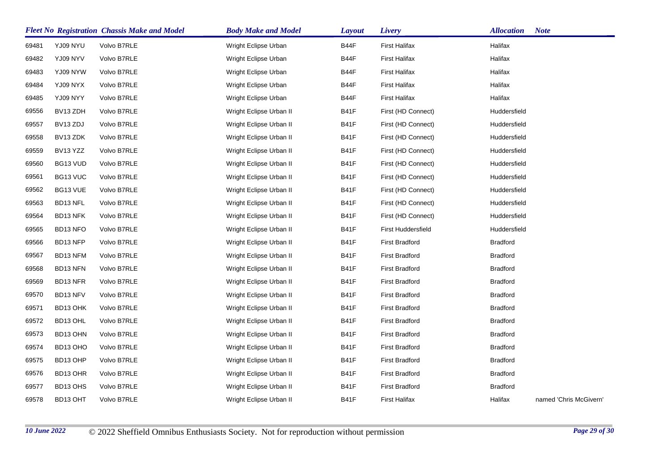|       |                      | <b>Fleet No Registration Chassis Make and Model</b> | <b>Body Make and Model</b> | <b>Layout</b> | Livery                    | <b>Allocation</b> | <b>Note</b>            |
|-------|----------------------|-----------------------------------------------------|----------------------------|---------------|---------------------------|-------------------|------------------------|
| 69481 | YJ09 NYU             | Volvo B7RLE                                         | Wright Eclipse Urban       | B44F          | First Halifax             | Halifax           |                        |
| 69482 | YJ09 NYV             | Volvo B7RLE                                         | Wright Eclipse Urban       | B44F          | <b>First Halifax</b>      | Halifax           |                        |
| 69483 | YJ09 NYW             | Volvo B7RLE                                         | Wright Eclipse Urban       | B44F          | <b>First Halifax</b>      | Halifax           |                        |
| 69484 | YJ09 NYX             | Volvo B7RLE                                         | Wright Eclipse Urban       | B44F          | <b>First Halifax</b>      | Halifax           |                        |
| 69485 | YJ09 NYY             | Volvo B7RLE                                         | Wright Eclipse Urban       | B44F          | First Halifax             | Halifax           |                        |
| 69556 | BV13 ZDH             | Volvo B7RLE                                         | Wright Eclipse Urban II    | B41F          | First (HD Connect)        | Huddersfield      |                        |
| 69557 | BV <sub>13</sub> ZDJ | Volvo B7RLE                                         | Wright Eclipse Urban II    | <b>B41F</b>   | First (HD Connect)        | Huddersfield      |                        |
| 69558 | BV13 ZDK             | Volvo B7RLE                                         | Wright Eclipse Urban II    | <b>B41F</b>   | First (HD Connect)        | Huddersfield      |                        |
| 69559 | BV13 YZZ             | Volvo B7RLE                                         | Wright Eclipse Urban II    | B41F          | First (HD Connect)        | Huddersfield      |                        |
| 69560 | BG13 VUD             | Volvo B7RLE                                         | Wright Eclipse Urban II    | <b>B41F</b>   | First (HD Connect)        | Huddersfield      |                        |
| 69561 | BG13 VUC             | Volvo B7RLE                                         | Wright Eclipse Urban II    | B41F          | First (HD Connect)        | Huddersfield      |                        |
| 69562 | BG13 VUE             | Volvo B7RLE                                         | Wright Eclipse Urban II    | <b>B41F</b>   | First (HD Connect)        | Huddersfield      |                        |
| 69563 | BD13 NFL             | Volvo B7RLE                                         | Wright Eclipse Urban II    | B41F          | First (HD Connect)        | Huddersfield      |                        |
| 69564 | BD13 NFK             | Volvo B7RLE                                         | Wright Eclipse Urban II    | B41F          | First (HD Connect)        | Huddersfield      |                        |
| 69565 | BD13 NFO             | Volvo B7RLE                                         | Wright Eclipse Urban II    | <b>B41F</b>   | <b>First Huddersfield</b> | Huddersfield      |                        |
| 69566 | BD13 NFP             | Volvo B7RLE                                         | Wright Eclipse Urban II    | <b>B41F</b>   | <b>First Bradford</b>     | <b>Bradford</b>   |                        |
| 69567 | BD13 NFM             | Volvo B7RLE                                         | Wright Eclipse Urban II    | B41F          | <b>First Bradford</b>     | <b>Bradford</b>   |                        |
| 69568 | BD13 NFN             | Volvo B7RLE                                         | Wright Eclipse Urban II    | <b>B41F</b>   | <b>First Bradford</b>     | <b>Bradford</b>   |                        |
| 69569 | BD13 NFR             | Volvo B7RLE                                         | Wright Eclipse Urban II    | <b>B41F</b>   | First Bradford            | <b>Bradford</b>   |                        |
| 69570 | BD13 NFV             | Volvo B7RLE                                         | Wright Eclipse Urban II    | <b>B41F</b>   | <b>First Bradford</b>     | <b>Bradford</b>   |                        |
| 69571 | BD13 OHK             | Volvo B7RLE                                         | Wright Eclipse Urban II    | B41F          | <b>First Bradford</b>     | <b>Bradford</b>   |                        |
| 69572 | BD13 OHL             | Volvo B7RLE                                         | Wright Eclipse Urban II    | <b>B41F</b>   | <b>First Bradford</b>     | <b>Bradford</b>   |                        |
| 69573 | BD13 OHN             | Volvo B7RLE                                         | Wright Eclipse Urban II    | <b>B41F</b>   | <b>First Bradford</b>     | <b>Bradford</b>   |                        |
| 69574 | BD13 OHO             | Volvo B7RLE                                         | Wright Eclipse Urban II    | <b>B41F</b>   | <b>First Bradford</b>     | <b>Bradford</b>   |                        |
| 69575 | BD13 OHP             | Volvo B7RLE                                         | Wright Eclipse Urban II    | <b>B41F</b>   | <b>First Bradford</b>     | <b>Bradford</b>   |                        |
| 69576 | BD13 OHR             | Volvo B7RLE                                         | Wright Eclipse Urban II    | <b>B41F</b>   | <b>First Bradford</b>     | <b>Bradford</b>   |                        |
| 69577 | BD13 OHS             | Volvo B7RLE                                         | Wright Eclipse Urban II    | <b>B41F</b>   | <b>First Bradford</b>     | <b>Bradford</b>   |                        |
| 69578 | BD13 OHT             | Volvo B7RLE                                         | Wright Eclipse Urban II    | <b>B41F</b>   | <b>First Halifax</b>      | Halifax           | named 'Chris McGivern' |